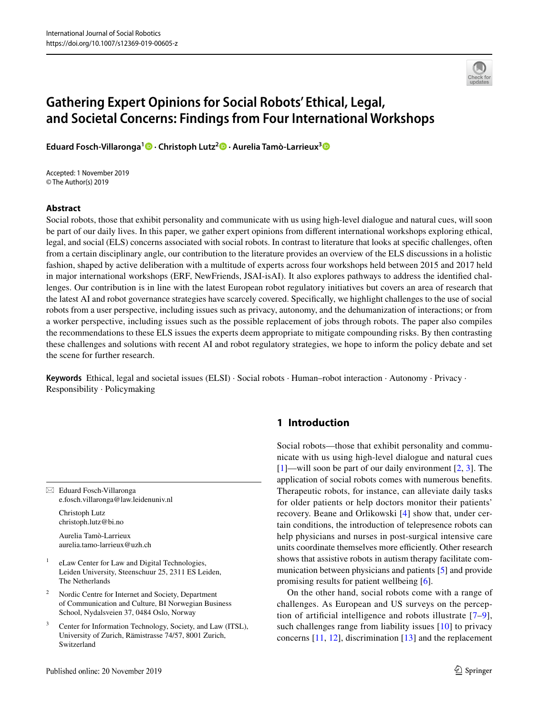

# **Gathering Expert Opinions for Social Robots' Ethical, Legal, and Societal Concerns: Findings from Four International Workshops**

**Eduard Fosch‑Villaronga1  [·](http://orcid.org/0000-0002-8325-5871) Christoph Lutz2  [·](http://orcid.org/0000-0003-4389-6006) Aurelia Tamò‑Larrieux[3](http://orcid.org/0000-0003-3404-7643)**

Accepted: 1 November 2019 © The Author(s) 2019

## **Abstract**

Social robots, those that exhibit personality and communicate with us using high-level dialogue and natural cues, will soon be part of our daily lives. In this paper, we gather expert opinions from diferent international workshops exploring ethical, legal, and social (ELS) concerns associated with social robots. In contrast to literature that looks at specifc challenges, often from a certain disciplinary angle, our contribution to the literature provides an overview of the ELS discussions in a holistic fashion, shaped by active deliberation with a multitude of experts across four workshops held between 2015 and 2017 held in major international workshops (ERF, NewFriends, JSAI-isAI). It also explores pathways to address the identifed challenges. Our contribution is in line with the latest European robot regulatory initiatives but covers an area of research that the latest AI and robot governance strategies have scarcely covered. Specifcally, we highlight challenges to the use of social robots from a user perspective, including issues such as privacy, autonomy, and the dehumanization of interactions; or from a worker perspective, including issues such as the possible replacement of jobs through robots. The paper also compiles the recommendations to these ELS issues the experts deem appropriate to mitigate compounding risks. By then contrasting these challenges and solutions with recent AI and robot regulatory strategies, we hope to inform the policy debate and set the scene for further research.

**Keywords** Ethical, legal and societal issues (ELSI) · Social robots · Human–robot interaction · Autonomy · Privacy · Responsibility · Policymaking

 $\boxtimes$  Eduard Fosch-Villaronga e.fosch.villaronga@law.leidenuniv.nl

> Christoph Lutz christoph.lutz@bi.no

Aurelia Tamò-Larrieux aurelia.tamo-larrieux@uzh.ch

- eLaw Center for Law and Digital Technologies, Leiden University, Steenschuur 25, 2311 ES Leiden, The Netherlands
- <sup>2</sup> Nordic Centre for Internet and Society, Department of Communication and Culture, BI Norwegian Business School, Nydalsveien 37, 0484 Oslo, Norway
- Center for Information Technology, Society, and Law (ITSL), University of Zurich, Rämistrasse 74/57, 8001 Zurich, Switzerland

# **1 Introduction**

Social robots—those that exhibit personality and communicate with us using high-level dialogue and natural cues [[1\]](#page-14-0)—will soon be part of our daily environment [[2,](#page-14-1) [3](#page-14-2)]. The application of social robots comes with numerous benefts. Therapeutic robots, for instance, can alleviate daily tasks for older patients or help doctors monitor their patients' recovery. Beane and Orlikowski [[4](#page-14-3)] show that, under certain conditions, the introduction of telepresence robots can help physicians and nurses in post-surgical intensive care units coordinate themselves more efficiently. Other research shows that assistive robots in autism therapy facilitate communication between physicians and patients [[5\]](#page-14-4) and provide promising results for patient wellbeing [[6\]](#page-14-5).

On the other hand, social robots come with a range of challenges. As European and US surveys on the perception of artifcial intelligence and robots illustrate [[7–](#page-14-6)[9](#page-14-7)], such challenges range from liability issues [[10\]](#page-14-8) to privacy concerns [\[11](#page-14-9), [12\]](#page-14-10), discrimination [[13\]](#page-14-11) and the replacement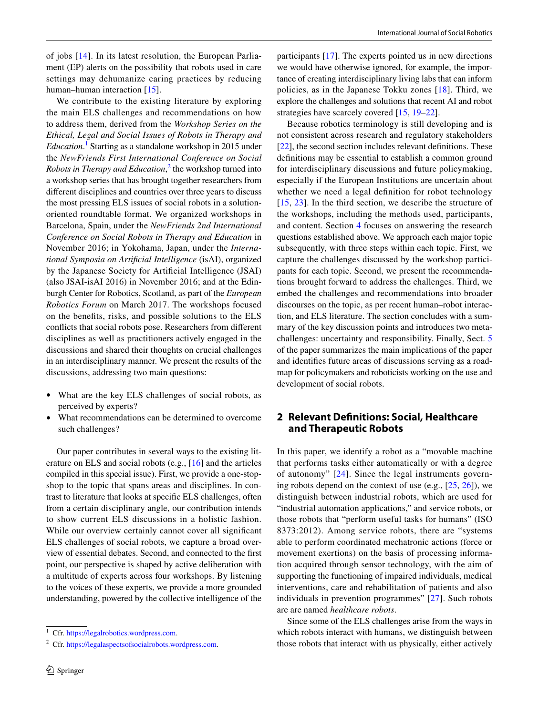of jobs [[14\]](#page-14-12). In its latest resolution, the European Parliament (EP) alerts on the possibility that robots used in care settings may dehumanize caring practices by reducing human–human interaction [[15\]](#page-15-0).

We contribute to the existing literature by exploring the main ELS challenges and recommendations on how to address them, derived from the *Workshop Series on the Ethical, Legal and Social Issues of Robots in Therapy and Education*. [1](#page-1-0) Starting as a standalone workshop in 2015 under the *NewFriends First International Conference on Social Robots in Therapy and Education*, [2](#page-1-1) the workshop turned into a workshop series that has brought together researchers from diferent disciplines and countries over three years to discuss the most pressing ELS issues of social robots in a solutionoriented roundtable format. We organized workshops in Barcelona, Spain, under the *NewFriends 2nd International Conference on Social Robots in Therapy and Education* in November 2016; in Yokohama, Japan, under the *International Symposia on Artifcial Intelligence* (isAI), organized by the Japanese Society for Artifcial Intelligence (JSAI) (also JSAI-isAI 2016) in November 2016; and at the Edinburgh Center for Robotics, Scotland, as part of the *European Robotics Forum* on March 2017. The workshops focused on the benefts, risks, and possible solutions to the ELS conficts that social robots pose. Researchers from diferent disciplines as well as practitioners actively engaged in the discussions and shared their thoughts on crucial challenges in an interdisciplinary manner. We present the results of the discussions, addressing two main questions:

- What are the key ELS challenges of social robots, as perceived by experts?
- What recommendations can be determined to overcome such challenges?

Our paper contributes in several ways to the existing literature on ELS and social robots (e.g., [[16\]](#page-15-1) and the articles compiled in this special issue). First, we provide a one-stopshop to the topic that spans areas and disciplines. In contrast to literature that looks at specifc ELS challenges, often from a certain disciplinary angle, our contribution intends to show current ELS discussions in a holistic fashion. While our overview certainly cannot cover all signifcant ELS challenges of social robots, we capture a broad overview of essential debates. Second, and connected to the frst point, our perspective is shaped by active deliberation with a multitude of experts across four workshops. By listening to the voices of these experts, we provide a more grounded understanding, powered by the collective intelligence of the

participants [[17\]](#page-15-2). The experts pointed us in new directions we would have otherwise ignored, for example, the importance of creating interdisciplinary living labs that can inform policies, as in the Japanese Tokku zones [[18](#page-15-3)]. Third, we explore the challenges and solutions that recent AI and robot strategies have scarcely covered [\[15](#page-15-0), [19–](#page-15-4)[22\]](#page-15-5).

Because robotics terminology is still developing and is not consistent across research and regulatory stakeholders [\[22\]](#page-15-5), the second section includes relevant defnitions. These defnitions may be essential to establish a common ground for interdisciplinary discussions and future policymaking, especially if the European Institutions are uncertain about whether we need a legal defnition for robot technology [[15,](#page-15-0) [23\]](#page-15-6). In the third section, we describe the structure of the workshops, including the methods used, participants, and content. Section [4](#page-4-0) focuses on answering the research questions established above. We approach each major topic subsequently, with three steps within each topic. First, we capture the challenges discussed by the workshop participants for each topic. Second, we present the recommendations brought forward to address the challenges. Third, we embed the challenges and recommendations into broader discourses on the topic, as per recent human–robot interaction, and ELS literature. The section concludes with a summary of the key discussion points and introduces two metachallenges: uncertainty and responsibility. Finally, Sect. [5](#page-13-0) of the paper summarizes the main implications of the paper and identifes future areas of discussions serving as a roadmap for policymakers and roboticists working on the use and development of social robots.

## **2 Relevant Defnitions: Social, Healthcare and Therapeutic Robots**

In this paper, we identify a robot as a "movable machine that performs tasks either automatically or with a degree of autonomy" [[24](#page-15-7)]. Since the legal instruments governing robots depend on the context of use (e.g.,  $[25, 26]$  $[25, 26]$  $[25, 26]$ ), we distinguish between industrial robots, which are used for "industrial automation applications," and service robots, or those robots that "perform useful tasks for humans" (ISO 8373:2012). Among service robots, there are "systems able to perform coordinated mechatronic actions (force or movement exertions) on the basis of processing information acquired through sensor technology, with the aim of supporting the functioning of impaired individuals, medical interventions, care and rehabilitation of patients and also individuals in prevention programmes" [[27](#page-15-10)]. Such robots are are named *healthcare robots*.

Since some of the ELS challenges arise from the ways in which robots interact with humans, we distinguish between those robots that interact with us physically, either actively

<span id="page-1-0"></span><sup>1</sup> Cfr.<https://legalrobotics.wordpress.com>.

<span id="page-1-1"></span><sup>2</sup> Cfr.<https://legalaspectsofsocialrobots.wordpress.com>.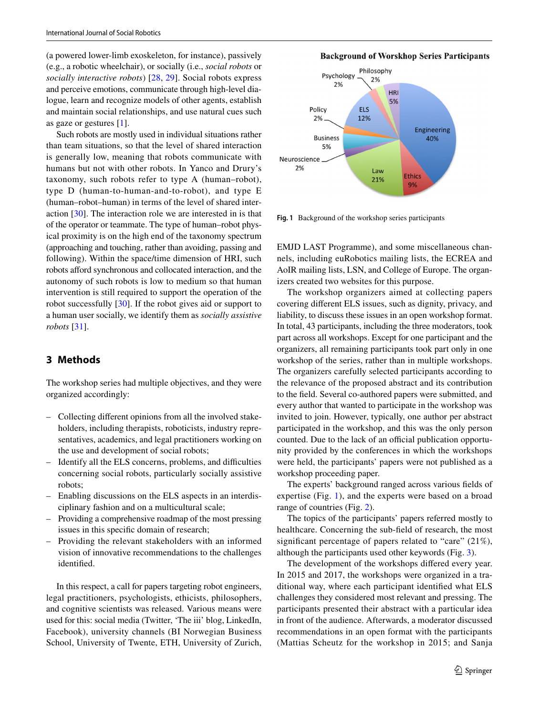(a powered lower-limb exoskeleton, for instance), passively (e.g., a robotic wheelchair), or socially (i.e., *social robots* or *socially interactive robots*) [\[28,](#page-15-11) [29](#page-15-12)]. Social robots express and perceive emotions, communicate through high-level dialogue, learn and recognize models of other agents, establish and maintain social relationships, and use natural cues such as gaze or gestures [\[1](#page-14-0)].

Such robots are mostly used in individual situations rather than team situations, so that the level of shared interaction is generally low, meaning that robots communicate with humans but not with other robots. In Yanco and Drury's taxonomy, such robots refer to type A (human–robot), type D (human-to-human-and-to-robot), and type E (human–robot–human) in terms of the level of shared interaction [[30\]](#page-15-13). The interaction role we are interested in is that of the operator or teammate. The type of human–robot physical proximity is on the high end of the taxonomy spectrum (approaching and touching, rather than avoiding, passing and following). Within the space/time dimension of HRI, such robots afford synchronous and collocated interaction, and the autonomy of such robots is low to medium so that human intervention is still required to support the operation of the robot successfully [\[30](#page-15-13)]. If the robot gives aid or support to a human user socially, we identify them as *socially assistive robots* [\[31](#page-15-14)].

# **3 Methods**

The workshop series had multiple objectives, and they were organized accordingly:

- Collecting diferent opinions from all the involved stakeholders, including therapists, roboticists, industry representatives, academics, and legal practitioners working on the use and development of social robots;
- Identify all the ELS concerns, problems, and difculties concerning social robots, particularly socially assistive robots;
- Enabling discussions on the ELS aspects in an interdisciplinary fashion and on a multicultural scale;
- Providing a comprehensive roadmap of the most pressing issues in this specifc domain of research;
- Providing the relevant stakeholders with an informed vision of innovative recommendations to the challenges identifed.

In this respect, a call for papers targeting robot engineers, legal practitioners, psychologists, ethicists, philosophers, and cognitive scientists was released. Various means were used for this: social media (Twitter, 'The iii' blog, LinkedIn, Facebook), university channels (BI Norwegian Business School, University of Twente, ETH, University of Zurich,

## **Background of Worskhop Series Participants**



<span id="page-2-0"></span>**Fig. 1** Background of the workshop series participants

EMJD LAST Programme), and some miscellaneous channels, including euRobotics mailing lists, the ECREA and AoIR mailing lists, LSN, and College of Europe. The organizers created two websites for this purpose.

The workshop organizers aimed at collecting papers covering diferent ELS issues, such as dignity, privacy, and liability, to discuss these issues in an open workshop format. In total, 43 participants, including the three moderators, took part across all workshops. Except for one participant and the organizers, all remaining participants took part only in one workshop of the series, rather than in multiple workshops. The organizers carefully selected participants according to the relevance of the proposed abstract and its contribution to the feld. Several co-authored papers were submitted, and every author that wanted to participate in the workshop was invited to join. However, typically, one author per abstract participated in the workshop, and this was the only person counted. Due to the lack of an official publication opportunity provided by the conferences in which the workshops were held, the participants' papers were not published as a workshop proceeding paper.

The experts' background ranged across various felds of expertise (Fig. [1\)](#page-2-0), and the experts were based on a broad range of countries (Fig. [2](#page-3-0)).

The topics of the participants' papers referred mostly to healthcare. Concerning the sub-feld of research, the most signifcant percentage of papers related to "care" (21%), although the participants used other keywords (Fig. [3\)](#page-3-1).

The development of the workshops difered every year. In 2015 and 2017, the workshops were organized in a traditional way, where each participant identifed what ELS challenges they considered most relevant and pressing. The participants presented their abstract with a particular idea in front of the audience. Afterwards, a moderator discussed recommendations in an open format with the participants (Mattias Scheutz for the workshop in 2015; and Sanja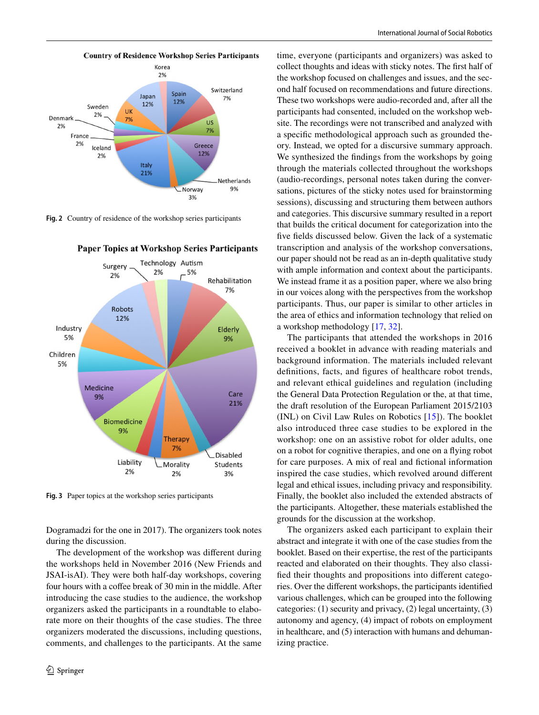

<span id="page-3-0"></span>**Fig. 2** Country of residence of the workshop series participants



**Paper Topics at Workshop Series Participants** 

<span id="page-3-1"></span>**Fig. 3** Paper topics at the workshop series participants

Dogramadzi for the one in 2017). The organizers took notes during the discussion.

The development of the workshop was diferent during the workshops held in November 2016 (New Friends and JSAI-isAI). They were both half-day workshops, covering four hours with a coffee break of 30 min in the middle. After introducing the case studies to the audience, the workshop organizers asked the participants in a roundtable to elaborate more on their thoughts of the case studies. The three organizers moderated the discussions, including questions, comments, and challenges to the participants. At the same

time, everyone (participants and organizers) was asked to collect thoughts and ideas with sticky notes. The frst half of the workshop focused on challenges and issues, and the second half focused on recommendations and future directions. These two workshops were audio-recorded and, after all the participants had consented, included on the workshop website. The recordings were not transcribed and analyzed with a specifc methodological approach such as grounded theory. Instead, we opted for a discursive summary approach. We synthesized the findings from the workshops by going through the materials collected throughout the workshops (audio-recordings, personal notes taken during the conversations, pictures of the sticky notes used for brainstorming sessions), discussing and structuring them between authors and categories. This discursive summary resulted in a report that builds the critical document for categorization into the fve felds discussed below. Given the lack of a systematic transcription and analysis of the workshop conversations, our paper should not be read as an in-depth qualitative study with ample information and context about the participants. We instead frame it as a position paper, where we also bring in our voices along with the perspectives from the workshop participants. Thus, our paper is similar to other articles in the area of ethics and information technology that relied on a workshop methodology [\[17](#page-15-2), [32](#page-15-15)].

The participants that attended the workshops in 2016 received a booklet in advance with reading materials and background information. The materials included relevant definitions, facts, and figures of healthcare robot trends, and relevant ethical guidelines and regulation (including the General Data Protection Regulation or the, at that time, the draft resolution of the European Parliament 2015/2103 (INL) on Civil Law Rules on Robotics [\[15](#page-15-0)]). The booklet also introduced three case studies to be explored in the workshop: one on an assistive robot for older adults, one on a robot for cognitive therapies, and one on a fying robot for care purposes. A mix of real and fctional information inspired the case studies, which revolved around diferent legal and ethical issues, including privacy and responsibility. Finally, the booklet also included the extended abstracts of the participants. Altogether, these materials established the grounds for the discussion at the workshop.

The organizers asked each participant to explain their abstract and integrate it with one of the case studies from the booklet. Based on their expertise, the rest of the participants reacted and elaborated on their thoughts. They also classifed their thoughts and propositions into diferent categories. Over the diferent workshops, the participants identifed various challenges, which can be grouped into the following categories: (1) security and privacy, (2) legal uncertainty, (3) autonomy and agency, (4) impact of robots on employment in healthcare, and (5) interaction with humans and dehumanizing practice.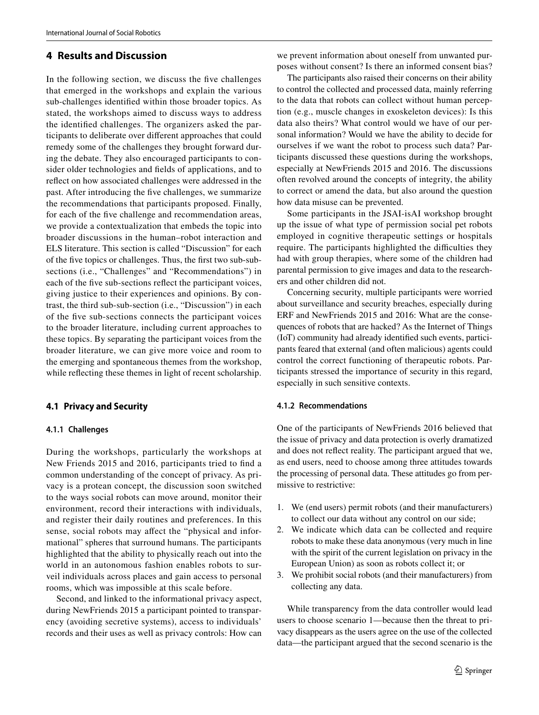## <span id="page-4-0"></span>**4 Results and Discussion**

In the following section, we discuss the fve challenges that emerged in the workshops and explain the various sub-challenges identifed within those broader topics. As stated, the workshops aimed to discuss ways to address the identifed challenges. The organizers asked the participants to deliberate over diferent approaches that could remedy some of the challenges they brought forward during the debate. They also encouraged participants to consider older technologies and felds of applications, and to refect on how associated challenges were addressed in the past. After introducing the fve challenges, we summarize the recommendations that participants proposed. Finally, for each of the fve challenge and recommendation areas, we provide a contextualization that embeds the topic into broader discussions in the human–robot interaction and ELS literature. This section is called "Discussion" for each of the fve topics or challenges. Thus, the frst two sub-subsections (i.e., "Challenges" and "Recommendations") in each of the fve sub-sections refect the participant voices, giving justice to their experiences and opinions. By contrast, the third sub-sub-section (i.e., "Discussion") in each of the fve sub-sections connects the participant voices to the broader literature, including current approaches to these topics. By separating the participant voices from the broader literature, we can give more voice and room to the emerging and spontaneous themes from the workshop, while refecting these themes in light of recent scholarship.

#### **4.1 Privacy and Security**

#### **4.1.1 Challenges**

During the workshops, particularly the workshops at New Friends 2015 and 2016, participants tried to fnd a common understanding of the concept of privacy. As privacy is a protean concept, the discussion soon switched to the ways social robots can move around, monitor their environment, record their interactions with individuals, and register their daily routines and preferences. In this sense, social robots may afect the "physical and informational" spheres that surround humans. The participants highlighted that the ability to physically reach out into the world in an autonomous fashion enables robots to surveil individuals across places and gain access to personal rooms, which was impossible at this scale before.

Second, and linked to the informational privacy aspect, during NewFriends 2015 a participant pointed to transparency (avoiding secretive systems), access to individuals' records and their uses as well as privacy controls: How can

we prevent information about oneself from unwanted purposes without consent? Is there an informed consent bias?

The participants also raised their concerns on their ability to control the collected and processed data, mainly referring to the data that robots can collect without human perception (e.g., muscle changes in exoskeleton devices): Is this data also theirs? What control would we have of our personal information? Would we have the ability to decide for ourselves if we want the robot to process such data? Participants discussed these questions during the workshops, especially at NewFriends 2015 and 2016. The discussions often revolved around the concepts of integrity, the ability to correct or amend the data, but also around the question how data misuse can be prevented.

Some participants in the JSAI-isAI workshop brought up the issue of what type of permission social pet robots employed in cognitive therapeutic settings or hospitals require. The participants highlighted the difficulties they had with group therapies, where some of the children had parental permission to give images and data to the researchers and other children did not.

Concerning security, multiple participants were worried about surveillance and security breaches, especially during ERF and NewFriends 2015 and 2016: What are the consequences of robots that are hacked? As the Internet of Things (IoT) community had already identifed such events, participants feared that external (and often malicious) agents could control the correct functioning of therapeutic robots. Participants stressed the importance of security in this regard, especially in such sensitive contexts.

#### **4.1.2 Recommendations**

One of the participants of NewFriends 2016 believed that the issue of privacy and data protection is overly dramatized and does not refect reality. The participant argued that we, as end users, need to choose among three attitudes towards the processing of personal data. These attitudes go from permissive to restrictive:

- 1. We (end users) permit robots (and their manufacturers) to collect our data without any control on our side;
- 2. We indicate which data can be collected and require robots to make these data anonymous (very much in line with the spirit of the current legislation on privacy in the European Union) as soon as robots collect it; or
- 3. We prohibit social robots (and their manufacturers) from collecting any data.

While transparency from the data controller would lead users to choose scenario 1—because then the threat to privacy disappears as the users agree on the use of the collected data—the participant argued that the second scenario is the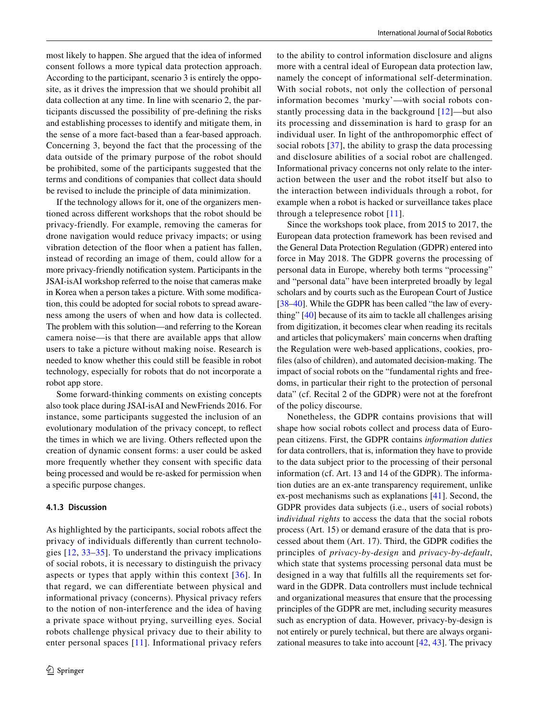most likely to happen. She argued that the idea of informed consent follows a more typical data protection approach. According to the participant, scenario 3 is entirely the opposite, as it drives the impression that we should prohibit all data collection at any time. In line with scenario 2, the participants discussed the possibility of pre-defning the risks and establishing processes to identify and mitigate them, in the sense of a more fact-based than a fear-based approach. Concerning 3, beyond the fact that the processing of the data outside of the primary purpose of the robot should be prohibited, some of the participants suggested that the terms and conditions of companies that collect data should be revised to include the principle of data minimization.

If the technology allows for it, one of the organizers mentioned across diferent workshops that the robot should be privacy-friendly. For example, removing the cameras for drone navigation would reduce privacy impacts; or using vibration detection of the foor when a patient has fallen, instead of recording an image of them, could allow for a more privacy-friendly notifcation system. Participants in the JSAI-isAI workshop referred to the noise that cameras make in Korea when a person takes a picture. With some modifcation, this could be adopted for social robots to spread awareness among the users of when and how data is collected. The problem with this solution—and referring to the Korean camera noise—is that there are available apps that allow users to take a picture without making noise. Research is needed to know whether this could still be feasible in robot technology, especially for robots that do not incorporate a robot app store.

Some forward-thinking comments on existing concepts also took place during JSAI-isAI and NewFriends 2016. For instance, some participants suggested the inclusion of an evolutionary modulation of the privacy concept, to refect the times in which we are living. Others refected upon the creation of dynamic consent forms: a user could be asked more frequently whether they consent with specifc data being processed and would be re-asked for permission when a specifc purpose changes.

#### **4.1.3 Discussion**

As highlighted by the participants, social robots afect the privacy of individuals diferently than current technologies [\[12,](#page-14-10) [33–](#page-15-16)[35](#page-15-17)]. To understand the privacy implications of social robots, it is necessary to distinguish the privacy aspects or types that apply within this context  $[36]$  $[36]$ . In that regard, we can diferentiate between physical and informational privacy (concerns). Physical privacy refers to the notion of non-interference and the idea of having a private space without prying, surveilling eyes. Social robots challenge physical privacy due to their ability to enter personal spaces [[11\]](#page-14-9). Informational privacy refers to the ability to control information disclosure and aligns more with a central ideal of European data protection law, namely the concept of informational self-determination. With social robots, not only the collection of personal information becomes 'murky'—with social robots constantly processing data in the background [[12\]](#page-14-10)—but also its processing and dissemination is hard to grasp for an individual user. In light of the anthropomorphic efect of social robots [[37](#page-15-19)], the ability to grasp the data processing and disclosure abilities of a social robot are challenged. Informational privacy concerns not only relate to the interaction between the user and the robot itself but also to the interaction between individuals through a robot, for example when a robot is hacked or surveillance takes place through a telepresence robot [[11\]](#page-14-9).

Since the workshops took place, from 2015 to 2017, the European data protection framework has been revised and the General Data Protection Regulation (GDPR) entered into force in May 2018. The GDPR governs the processing of personal data in Europe, whereby both terms "processing" and "personal data" have been interpreted broadly by legal scholars and by courts such as the European Court of Justice [\[38](#page-15-20)[–40](#page-15-21)]. While the GDPR has been called "the law of everything" [[40\]](#page-15-21) because of its aim to tackle all challenges arising from digitization, it becomes clear when reading its recitals and articles that policymakers' main concerns when drafting the Regulation were web-based applications, cookies, profles (also of children), and automated decision-making. The impact of social robots on the "fundamental rights and freedoms, in particular their right to the protection of personal data" (cf. Recital 2 of the GDPR) were not at the forefront of the policy discourse.

Nonetheless, the GDPR contains provisions that will shape how social robots collect and process data of European citizens. First, the GDPR contains *information duties* for data controllers, that is, information they have to provide to the data subject prior to the processing of their personal information (cf. Art. 13 and 14 of the GDPR). The information duties are an ex-ante transparency requirement, unlike ex-post mechanisms such as explanations [[41\]](#page-15-22). Second, the GDPR provides data subjects (i.e., users of social robots) i*ndividual rights* to access the data that the social robots process (Art. 15) or demand erasure of the data that is processed about them (Art. 17). Third, the GDPR codifes the principles of *privacy*-*by*-*design* and *privacy*-*by*-*default*, which state that systems processing personal data must be designed in a way that fulflls all the requirements set forward in the GDPR. Data controllers must include technical and organizational measures that ensure that the processing principles of the GDPR are met, including security measures such as encryption of data. However, privacy-by-design is not entirely or purely technical, but there are always organizational measures to take into account [\[42](#page-15-23), [43](#page-15-24)]. The privacy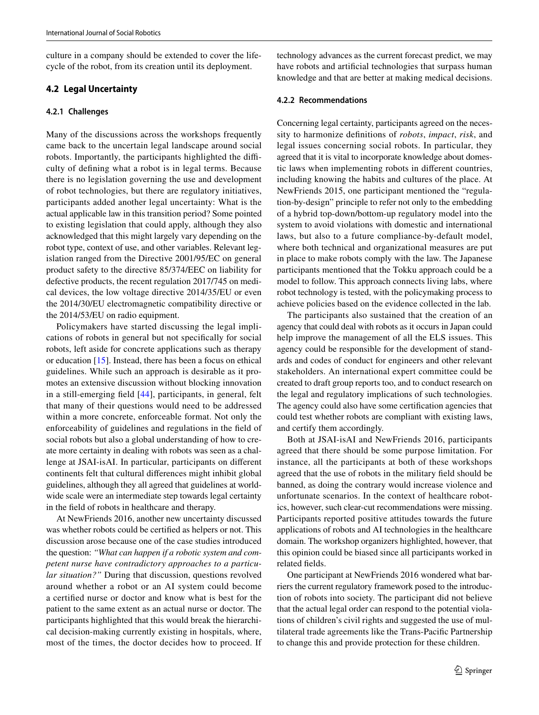culture in a company should be extended to cover the lifecycle of the robot, from its creation until its deployment.

## **4.2 Legal Uncertainty**

#### **4.2.1 Challenges**

Many of the discussions across the workshops frequently came back to the uncertain legal landscape around social robots. Importantly, the participants highlighted the difficulty of defning what a robot is in legal terms. Because there is no legislation governing the use and development of robot technologies, but there are regulatory initiatives, participants added another legal uncertainty: What is the actual applicable law in this transition period? Some pointed to existing legislation that could apply, although they also acknowledged that this might largely vary depending on the robot type, context of use, and other variables. Relevant legislation ranged from the Directive 2001/95/EC on general product safety to the directive 85/374/EEC on liability for defective products, the recent regulation 2017/745 on medical devices, the low voltage directive 2014/35/EU or even the 2014/30/EU electromagnetic compatibility directive or the 2014/53/EU on radio equipment.

Policymakers have started discussing the legal implications of robots in general but not specifcally for social robots, left aside for concrete applications such as therapy or education [[15\]](#page-15-0). Instead, there has been a focus on ethical guidelines. While such an approach is desirable as it promotes an extensive discussion without blocking innovation in a still-emerging feld [\[44\]](#page-15-25), participants, in general, felt that many of their questions would need to be addressed within a more concrete, enforceable format. Not only the enforceability of guidelines and regulations in the feld of social robots but also a global understanding of how to create more certainty in dealing with robots was seen as a challenge at JSAI-isAI. In particular, participants on diferent continents felt that cultural diferences might inhibit global guidelines, although they all agreed that guidelines at worldwide scale were an intermediate step towards legal certainty in the feld of robots in healthcare and therapy.

At NewFriends 2016, another new uncertainty discussed was whether robots could be certifed as helpers or not. This discussion arose because one of the case studies introduced the question: *"What can happen if a robotic system and competent nurse have contradictory approaches to a particular situation?"* During that discussion, questions revolved around whether a robot or an AI system could become a certifed nurse or doctor and know what is best for the patient to the same extent as an actual nurse or doctor. The participants highlighted that this would break the hierarchical decision-making currently existing in hospitals, where, most of the times, the doctor decides how to proceed. If technology advances as the current forecast predict, we may have robots and artifcial technologies that surpass human knowledge and that are better at making medical decisions.

#### **4.2.2 Recommendations**

Concerning legal certainty, participants agreed on the necessity to harmonize defnitions of *robots*, *impact*, *risk*, and legal issues concerning social robots. In particular, they agreed that it is vital to incorporate knowledge about domestic laws when implementing robots in diferent countries, including knowing the habits and cultures of the place. At NewFriends 2015, one participant mentioned the "regulation-by-design" principle to refer not only to the embedding of a hybrid top-down/bottom-up regulatory model into the system to avoid violations with domestic and international laws, but also to a future compliance-by-default model, where both technical and organizational measures are put in place to make robots comply with the law. The Japanese participants mentioned that the Tokku approach could be a model to follow. This approach connects living labs, where robot technology is tested, with the policymaking process to achieve policies based on the evidence collected in the lab.

The participants also sustained that the creation of an agency that could deal with robots as it occurs in Japan could help improve the management of all the ELS issues. This agency could be responsible for the development of standards and codes of conduct for engineers and other relevant stakeholders. An international expert committee could be created to draft group reports too, and to conduct research on the legal and regulatory implications of such technologies. The agency could also have some certifcation agencies that could test whether robots are compliant with existing laws, and certify them accordingly.

Both at JSAI-isAI and NewFriends 2016, participants agreed that there should be some purpose limitation. For instance, all the participants at both of these workshops agreed that the use of robots in the military feld should be banned, as doing the contrary would increase violence and unfortunate scenarios. In the context of healthcare robotics, however, such clear-cut recommendations were missing. Participants reported positive attitudes towards the future applications of robots and AI technologies in the healthcare domain. The workshop organizers highlighted, however, that this opinion could be biased since all participants worked in related felds.

One participant at NewFriends 2016 wondered what barriers the current regulatory framework posed to the introduction of robots into society. The participant did not believe that the actual legal order can respond to the potential violations of children's civil rights and suggested the use of multilateral trade agreements like the Trans-Pacifc Partnership to change this and provide protection for these children.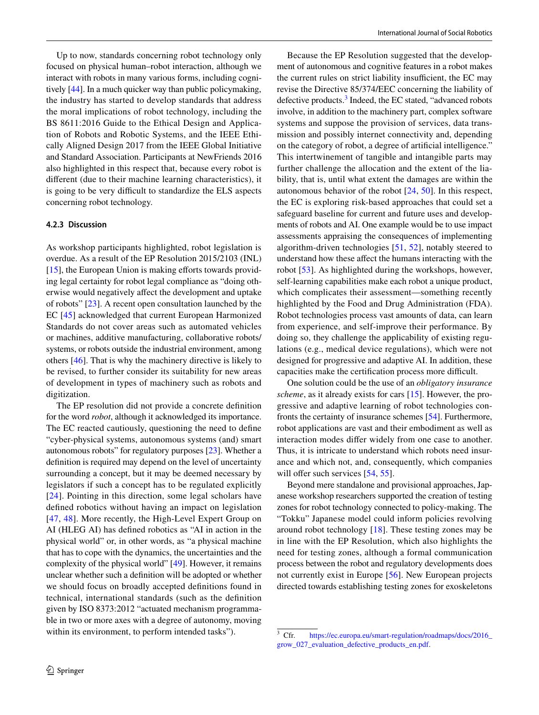Up to now, standards concerning robot technology only focused on physical human–robot interaction, although we interact with robots in many various forms, including cognitively [\[44](#page-15-25)]. In a much quicker way than public policymaking, the industry has started to develop standards that address the moral implications of robot technology, including the BS 8611:2016 Guide to the Ethical Design and Application of Robots and Robotic Systems, and the IEEE Ethically Aligned Design 2017 from the IEEE Global Initiative and Standard Association. Participants at NewFriends 2016 also highlighted in this respect that, because every robot is diferent (due to their machine learning characteristics), it is going to be very difficult to standardize the ELS aspects concerning robot technology.

#### **4.2.3 Discussion**

As workshop participants highlighted, robot legislation is overdue. As a result of the EP Resolution 2015/2103 (INL) [\[15\]](#page-15-0), the European Union is making efforts towards providing legal certainty for robot legal compliance as "doing otherwise would negatively afect the development and uptake of robots" [\[23](#page-15-6)]. A recent open consultation launched by the EC [\[45](#page-15-26)] acknowledged that current European Harmonized Standards do not cover areas such as automated vehicles or machines, additive manufacturing, collaborative robots/ systems, or robots outside the industrial environment, among others [[46\]](#page-16-0). That is why the machinery directive is likely to be revised, to further consider its suitability for new areas of development in types of machinery such as robots and digitization.

The EP resolution did not provide a concrete defnition for the word *robot*, although it acknowledged its importance. The EC reacted cautiously, questioning the need to defne "cyber-physical systems, autonomous systems (and) smart autonomous robots" for regulatory purposes [\[23](#page-15-6)]. Whether a defnition is required may depend on the level of uncertainty surrounding a concept, but it may be deemed necessary by legislators if such a concept has to be regulated explicitly [[24\]](#page-15-7). Pointing in this direction, some legal scholars have defned robotics without having an impact on legislation [\[47,](#page-16-1) [48\]](#page-16-2). More recently, the High-Level Expert Group on AI (HLEG AI) has defned robotics as "AI in action in the physical world" or, in other words, as "a physical machine that has to cope with the dynamics, the uncertainties and the complexity of the physical world" [\[49](#page-16-3)]. However, it remains unclear whether such a defnition will be adopted or whether we should focus on broadly accepted defnitions found in technical, international standards (such as the defnition given by ISO 8373:2012 "actuated mechanism programmable in two or more axes with a degree of autonomy, moving within its environment, to perform intended tasks").

Because the EP Resolution suggested that the development of autonomous and cognitive features in a robot makes the current rules on strict liability insufficient, the EC may revise the Directive 85/374/EEC concerning the liability of defective products.<sup>[3](#page-7-0)</sup> Indeed, the EC stated, "advanced robots involve, in addition to the machinery part, complex software systems and suppose the provision of services, data transmission and possibly internet connectivity and, depending on the category of robot, a degree of artifcial intelligence." This intertwinement of tangible and intangible parts may further challenge the allocation and the extent of the liability, that is, until what extent the damages are within the autonomous behavior of the robot [\[24](#page-15-7), [50\]](#page-16-4). In this respect, the EC is exploring risk-based approaches that could set a safeguard baseline for current and future uses and developments of robots and AI. One example would be to use impact assessments appraising the consequences of implementing algorithm-driven technologies [\[51,](#page-16-5) [52](#page-16-6)], notably steered to understand how these afect the humans interacting with the robot [\[53\]](#page-16-7). As highlighted during the workshops, however, self-learning capabilities make each robot a unique product, which complicates their assessment—something recently highlighted by the Food and Drug Administration (FDA). Robot technologies process vast amounts of data, can learn from experience, and self-improve their performance. By doing so, they challenge the applicability of existing regulations (e.g., medical device regulations), which were not designed for progressive and adaptive AI. In addition, these capacities make the certification process more difficult.

One solution could be the use of an *obligatory insurance scheme*, as it already exists for cars [\[15](#page-15-0)]. However, the progressive and adaptive learning of robot technologies confronts the certainty of insurance schemes [\[54](#page-16-8)]. Furthermore, robot applications are vast and their embodiment as well as interaction modes difer widely from one case to another. Thus, it is intricate to understand which robots need insurance and which not, and, consequently, which companies will offer such services  $[54, 55]$  $[54, 55]$  $[54, 55]$  $[54, 55]$ .

Beyond mere standalone and provisional approaches, Japanese workshop researchers supported the creation of testing zones for robot technology connected to policy-making. The "Tokku" Japanese model could inform policies revolving around robot technology [[18\]](#page-15-3). These testing zones may be in line with the EP Resolution, which also highlights the need for testing zones, although a formal communication process between the robot and regulatory developments does not currently exist in Europe [[56\]](#page-16-10). New European projects directed towards establishing testing zones for exoskeletons

<span id="page-7-0"></span><sup>&</sup>lt;sup>3</sup> Cfr. [https://ec.europa.eu/smart-regulation/roadmaps/docs/2016\\_](https://ec.europa.eu/smart-regulation/roadmaps/docs/2016_grow_027_evaluation_defective_products_en.pdf) [grow\\_027\\_evaluation\\_defective\\_products\\_en.pdf.](https://ec.europa.eu/smart-regulation/roadmaps/docs/2016_grow_027_evaluation_defective_products_en.pdf)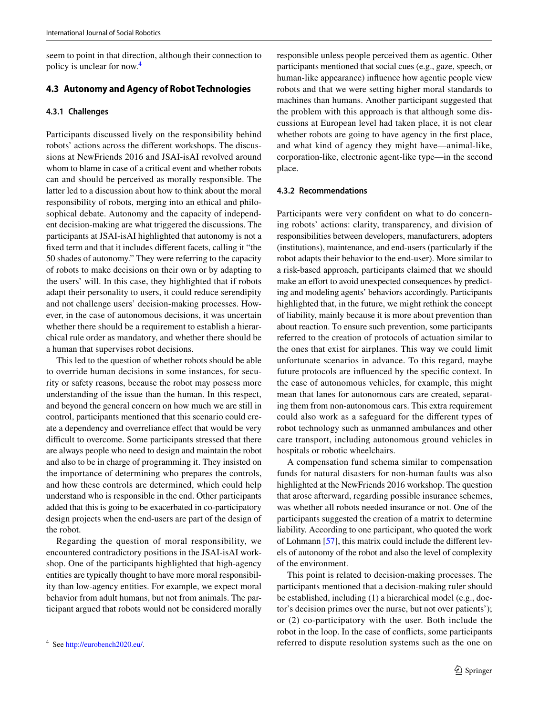seem to point in that direction, although their connection to policy is unclear for now.[4](#page-8-0)

## **4.3 Autonomy and Agency of Robot Technologies**

#### **4.3.1 Challenges**

Participants discussed lively on the responsibility behind robots' actions across the diferent workshops. The discussions at NewFriends 2016 and JSAI-isAI revolved around whom to blame in case of a critical event and whether robots can and should be perceived as morally responsible. The latter led to a discussion about how to think about the moral responsibility of robots, merging into an ethical and philosophical debate. Autonomy and the capacity of independent decision-making are what triggered the discussions. The participants at JSAI-isAI highlighted that autonomy is not a fxed term and that it includes diferent facets, calling it "the 50 shades of autonomy." They were referring to the capacity of robots to make decisions on their own or by adapting to the users' will. In this case, they highlighted that if robots adapt their personality to users, it could reduce serendipity and not challenge users' decision-making processes. However, in the case of autonomous decisions, it was uncertain whether there should be a requirement to establish a hierarchical rule order as mandatory, and whether there should be a human that supervises robot decisions.

This led to the question of whether robots should be able to override human decisions in some instances, for security or safety reasons, because the robot may possess more understanding of the issue than the human. In this respect, and beyond the general concern on how much we are still in control, participants mentioned that this scenario could create a dependency and overreliance efect that would be very difficult to overcome. Some participants stressed that there are always people who need to design and maintain the robot and also to be in charge of programming it. They insisted on the importance of determining who prepares the controls, and how these controls are determined, which could help understand who is responsible in the end. Other participants added that this is going to be exacerbated in co-participatory design projects when the end-users are part of the design of the robot.

Regarding the question of moral responsibility, we encountered contradictory positions in the JSAI-isAI workshop. One of the participants highlighted that high-agency entities are typically thought to have more moral responsibility than low-agency entities. For example, we expect moral behavior from adult humans, but not from animals. The participant argued that robots would not be considered morally responsible unless people perceived them as agentic. Other participants mentioned that social cues (e.g., gaze, speech, or human-like appearance) infuence how agentic people view robots and that we were setting higher moral standards to machines than humans. Another participant suggested that the problem with this approach is that although some discussions at European level had taken place, it is not clear whether robots are going to have agency in the first place, and what kind of agency they might have—animal-like, corporation-like, electronic agent-like type—in the second place.

#### **4.3.2 Recommendations**

Participants were very confdent on what to do concerning robots' actions: clarity, transparency, and division of responsibilities between developers, manufacturers, adopters (institutions), maintenance, and end-users (particularly if the robot adapts their behavior to the end-user). More similar to a risk-based approach, participants claimed that we should make an effort to avoid unexpected consequences by predicting and modeling agents' behaviors accordingly. Participants highlighted that, in the future, we might rethink the concept of liability, mainly because it is more about prevention than about reaction. To ensure such prevention, some participants referred to the creation of protocols of actuation similar to the ones that exist for airplanes. This way we could limit unfortunate scenarios in advance. To this regard, maybe future protocols are infuenced by the specifc context. In the case of autonomous vehicles, for example, this might mean that lanes for autonomous cars are created, separating them from non-autonomous cars. This extra requirement could also work as a safeguard for the diferent types of robot technology such as unmanned ambulances and other care transport, including autonomous ground vehicles in hospitals or robotic wheelchairs.

A compensation fund schema similar to compensation funds for natural disasters for non-human faults was also highlighted at the NewFriends 2016 workshop. The question that arose afterward, regarding possible insurance schemes, was whether all robots needed insurance or not. One of the participants suggested the creation of a matrix to determine liability. According to one participant, who quoted the work of Lohmann [\[57](#page-16-11)], this matrix could include the diferent levels of autonomy of the robot and also the level of complexity of the environment.

This point is related to decision-making processes. The participants mentioned that a decision-making ruler should be established, including (1) a hierarchical model (e.g., doctor's decision primes over the nurse, but not over patients'); or (2) co-participatory with the user. Both include the robot in the loop. In the case of conficts, some participants See http://eurobench2020.eu/. The original systems such as the one on 4 See http://eurobench2020.eu/.

<span id="page-8-0"></span>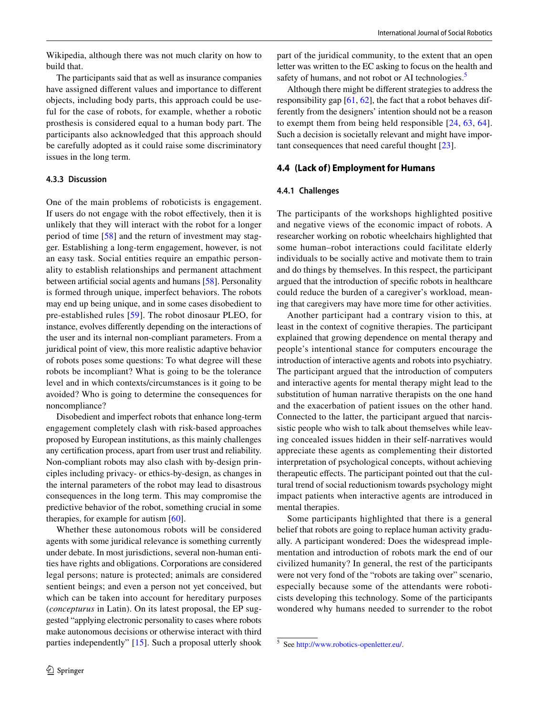Wikipedia, although there was not much clarity on how to build that.

The participants said that as well as insurance companies have assigned diferent values and importance to diferent objects, including body parts, this approach could be useful for the case of robots, for example, whether a robotic prosthesis is considered equal to a human body part. The participants also acknowledged that this approach should be carefully adopted as it could raise some discriminatory issues in the long term.

#### **4.3.3 Discussion**

One of the main problems of roboticists is engagement. If users do not engage with the robot efectively, then it is unlikely that they will interact with the robot for a longer period of time [\[58\]](#page-16-12) and the return of investment may stagger. Establishing a long-term engagement, however, is not an easy task. Social entities require an empathic personality to establish relationships and permanent attachment between artifcial social agents and humans [\[58\]](#page-16-12). Personality is formed through unique, imperfect behaviors. The robots may end up being unique, and in some cases disobedient to pre-established rules [[59](#page-16-13)]. The robot dinosaur PLEO, for instance, evolves diferently depending on the interactions of the user and its internal non-compliant parameters. From a juridical point of view, this more realistic adaptive behavior of robots poses some questions: To what degree will these robots be incompliant? What is going to be the tolerance level and in which contexts/circumstances is it going to be avoided? Who is going to determine the consequences for noncompliance?

Disobedient and imperfect robots that enhance long-term engagement completely clash with risk-based approaches proposed by European institutions, as this mainly challenges any certifcation process, apart from user trust and reliability. Non-compliant robots may also clash with by-design principles including privacy- or ethics-by-design, as changes in the internal parameters of the robot may lead to disastrous consequences in the long term. This may compromise the predictive behavior of the robot, something crucial in some therapies, for example for autism [[60\]](#page-16-14).

Whether these autonomous robots will be considered agents with some juridical relevance is something currently under debate. In most jurisdictions, several non-human entities have rights and obligations. Corporations are considered legal persons; nature is protected; animals are considered sentient beings; and even a person not yet conceived, but which can be taken into account for hereditary purposes (*concepturus* in Latin). On its latest proposal, the EP suggested "applying electronic personality to cases where robots make autonomous decisions or otherwise interact with third parties independently" [\[15](#page-15-0)]. Such a proposal utterly shook part of the juridical community, to the extent that an open letter was written to the EC asking to focus on the health and safety of humans, and not robot or AI technologies.<sup>[5](#page-9-0)</sup>

Although there might be diferent strategies to address the responsibility gap [\[61](#page-16-15), [62](#page-16-16)], the fact that a robot behaves differently from the designers' intention should not be a reason to exempt them from being held responsible [\[24,](#page-15-7) [63](#page-16-17), [64](#page-16-18)]. Such a decision is societally relevant and might have important consequences that need careful thought [\[23](#page-15-6)].

#### **4.4 (Lack of) Employment for Humans**

#### **4.4.1 Challenges**

The participants of the workshops highlighted positive and negative views of the economic impact of robots. A researcher working on robotic wheelchairs highlighted that some human–robot interactions could facilitate elderly individuals to be socially active and motivate them to train and do things by themselves. In this respect, the participant argued that the introduction of specifc robots in healthcare could reduce the burden of a caregiver's workload, meaning that caregivers may have more time for other activities.

Another participant had a contrary vision to this, at least in the context of cognitive therapies. The participant explained that growing dependence on mental therapy and people's intentional stance for computers encourage the introduction of interactive agents and robots into psychiatry. The participant argued that the introduction of computers and interactive agents for mental therapy might lead to the substitution of human narrative therapists on the one hand and the exacerbation of patient issues on the other hand. Connected to the latter, the participant argued that narcissistic people who wish to talk about themselves while leaving concealed issues hidden in their self-narratives would appreciate these agents as complementing their distorted interpretation of psychological concepts, without achieving therapeutic efects. The participant pointed out that the cultural trend of social reductionism towards psychology might impact patients when interactive agents are introduced in mental therapies.

Some participants highlighted that there is a general belief that robots are going to replace human activity gradually. A participant wondered: Does the widespread implementation and introduction of robots mark the end of our civilized humanity? In general, the rest of the participants were not very fond of the "robots are taking over" scenario, especially because some of the attendants were roboticists developing this technology. Some of the participants wondered why humans needed to surrender to the robot

<span id="page-9-0"></span><sup>5</sup> See <http://www.robotics-openletter.eu/>.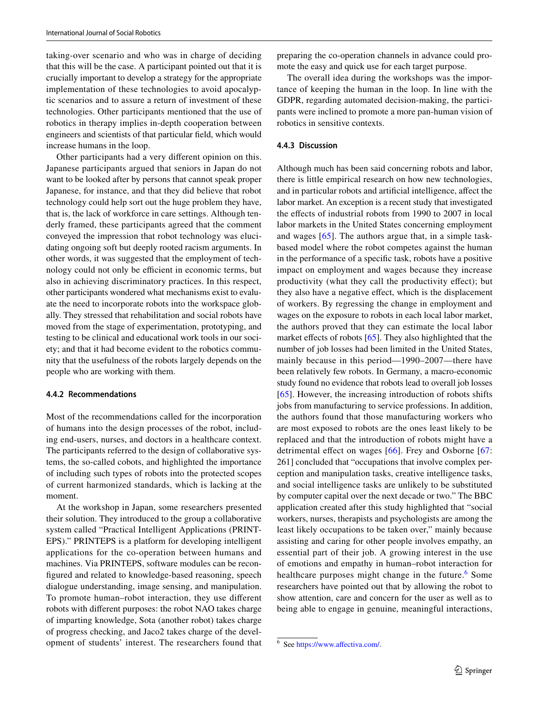taking-over scenario and who was in charge of deciding that this will be the case. A participant pointed out that it is crucially important to develop a strategy for the appropriate implementation of these technologies to avoid apocalyptic scenarios and to assure a return of investment of these technologies. Other participants mentioned that the use of robotics in therapy implies in-depth cooperation between engineers and scientists of that particular feld, which would increase humans in the loop.

Other participants had a very diferent opinion on this. Japanese participants argued that seniors in Japan do not want to be looked after by persons that cannot speak proper Japanese, for instance, and that they did believe that robot technology could help sort out the huge problem they have, that is, the lack of workforce in care settings. Although tenderly framed, these participants agreed that the comment conveyed the impression that robot technology was elucidating ongoing soft but deeply rooted racism arguments. In other words, it was suggested that the employment of technology could not only be efficient in economic terms, but also in achieving discriminatory practices. In this respect, other participants wondered what mechanisms exist to evaluate the need to incorporate robots into the workspace globally. They stressed that rehabilitation and social robots have moved from the stage of experimentation, prototyping, and testing to be clinical and educational work tools in our society; and that it had become evident to the robotics community that the usefulness of the robots largely depends on the people who are working with them.

#### **4.4.2 Recommendations**

Most of the recommendations called for the incorporation of humans into the design processes of the robot, including end-users, nurses, and doctors in a healthcare context. The participants referred to the design of collaborative systems, the so-called cobots, and highlighted the importance of including such types of robots into the protected scopes of current harmonized standards, which is lacking at the moment.

At the workshop in Japan, some researchers presented their solution. They introduced to the group a collaborative system called "Practical Intelligent Applications (PRINT-EPS)." PRINTEPS is a platform for developing intelligent applications for the co-operation between humans and machines. Via PRINTEPS, software modules can be reconfgured and related to knowledge-based reasoning, speech dialogue understanding, image sensing, and manipulation. To promote human–robot interaction, they use diferent robots with diferent purposes: the robot NAO takes charge of imparting knowledge, Sota (another robot) takes charge of progress checking, and Jaco2 takes charge of the development of students' interest. The researchers found that preparing the co-operation channels in advance could promote the easy and quick use for each target purpose.

The overall idea during the workshops was the importance of keeping the human in the loop. In line with the GDPR, regarding automated decision-making, the participants were inclined to promote a more pan-human vision of robotics in sensitive contexts.

#### **4.4.3 Discussion**

Although much has been said concerning robots and labor, there is little empirical research on how new technologies, and in particular robots and artifcial intelligence, afect the labor market. An exception is a recent study that investigated the effects of industrial robots from 1990 to 2007 in local labor markets in the United States concerning employment and wages [[65](#page-16-19)]. The authors argue that, in a simple taskbased model where the robot competes against the human in the performance of a specifc task, robots have a positive impact on employment and wages because they increase productivity (what they call the productivity efect); but they also have a negative efect, which is the displacement of workers. By regressing the change in employment and wages on the exposure to robots in each local labor market, the authors proved that they can estimate the local labor market effects of robots  $[65]$  $[65]$ . They also highlighted that the number of job losses had been limited in the United States, mainly because in this period—1990–2007—there have been relatively few robots. In Germany, a macro-economic study found no evidence that robots lead to overall job losses [[65\]](#page-16-20). However, the increasing introduction of robots shifts jobs from manufacturing to service professions. In addition, the authors found that those manufacturing workers who are most exposed to robots are the ones least likely to be replaced and that the introduction of robots might have a detrimental effect on wages [[66](#page-16-20)]. Frey and Osborne [[67](#page-16-21): 261] concluded that "occupations that involve complex perception and manipulation tasks, creative intelligence tasks, and social intelligence tasks are unlikely to be substituted by computer capital over the next decade or two." The BBC application created after this study highlighted that "social workers, nurses, therapists and psychologists are among the least likely occupations to be taken over," mainly because assisting and caring for other people involves empathy, an essential part of their job. A growing interest in the use of emotions and empathy in human–robot interaction for healthcare purposes might change in the future.<sup>[6](#page-10-0)</sup> Some researchers have pointed out that by allowing the robot to show attention, care and concern for the user as well as to being able to engage in genuine, meaningful interactions,

<span id="page-10-0"></span><sup>6</sup> See [https://www.afectiva.com/.](https://www.affectiva.com/)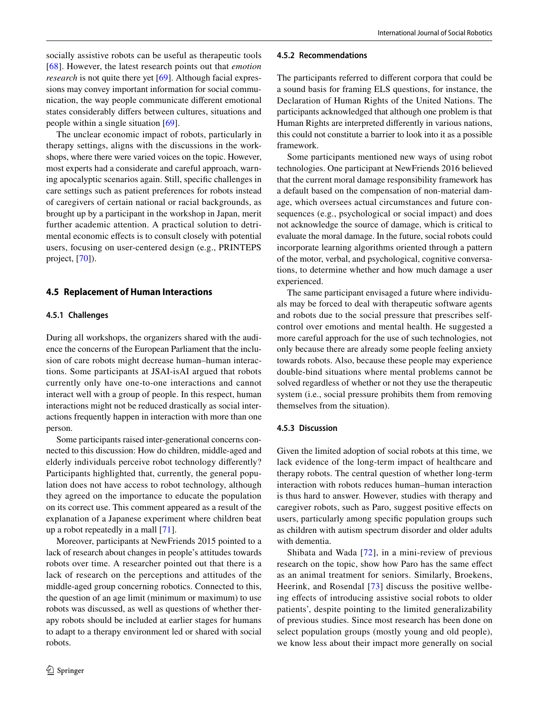socially assistive robots can be useful as therapeutic tools [\[68\]](#page-16-22). However, the latest research points out that *emotion research* is not quite there yet [[69\]](#page-16-23). Although facial expressions may convey important information for social communication, the way people communicate diferent emotional states considerably difers between cultures, situations and people within a single situation [[69](#page-16-23)].

The unclear economic impact of robots, particularly in therapy settings, aligns with the discussions in the workshops, where there were varied voices on the topic. However, most experts had a considerate and careful approach, warning apocalyptic scenarios again. Still, specifc challenges in care settings such as patient preferences for robots instead of caregivers of certain national or racial backgrounds, as brought up by a participant in the workshop in Japan, merit further academic attention. A practical solution to detrimental economic efects is to consult closely with potential users, focusing on user-centered design (e.g., PRINTEPS project, [\[70\]](#page-16-24)).

## **4.5 Replacement of Human Interactions**

#### **4.5.1 Challenges**

During all workshops, the organizers shared with the audience the concerns of the European Parliament that the inclusion of care robots might decrease human–human interactions. Some participants at JSAI-isAI argued that robots currently only have one-to-one interactions and cannot interact well with a group of people. In this respect, human interactions might not be reduced drastically as social interactions frequently happen in interaction with more than one person.

Some participants raised inter-generational concerns connected to this discussion: How do children, middle-aged and elderly individuals perceive robot technology diferently? Participants highlighted that, currently, the general population does not have access to robot technology, although they agreed on the importance to educate the population on its correct use. This comment appeared as a result of the explanation of a Japanese experiment where children beat up a robot repeatedly in a mall [\[71\]](#page-16-25).

Moreover, participants at NewFriends 2015 pointed to a lack of research about changes in people's attitudes towards robots over time. A researcher pointed out that there is a lack of research on the perceptions and attitudes of the middle-aged group concerning robotics. Connected to this, the question of an age limit (minimum or maximum) to use robots was discussed, as well as questions of whether therapy robots should be included at earlier stages for humans to adapt to a therapy environment led or shared with social robots.

#### **4.5.2 Recommendations**

The participants referred to diferent corpora that could be a sound basis for framing ELS questions, for instance, the Declaration of Human Rights of the United Nations. The participants acknowledged that although one problem is that Human Rights are interpreted diferently in various nations, this could not constitute a barrier to look into it as a possible framework.

Some participants mentioned new ways of using robot technologies. One participant at NewFriends 2016 believed that the current moral damage responsibility framework has a default based on the compensation of non-material damage, which oversees actual circumstances and future consequences (e.g., psychological or social impact) and does not acknowledge the source of damage, which is critical to evaluate the moral damage. In the future, social robots could incorporate learning algorithms oriented through a pattern of the motor, verbal, and psychological, cognitive conversations, to determine whether and how much damage a user experienced.

The same participant envisaged a future where individuals may be forced to deal with therapeutic software agents and robots due to the social pressure that prescribes selfcontrol over emotions and mental health. He suggested a more careful approach for the use of such technologies, not only because there are already some people feeling anxiety towards robots. Also, because these people may experience double-bind situations where mental problems cannot be solved regardless of whether or not they use the therapeutic system (i.e., social pressure prohibits them from removing themselves from the situation).

#### **4.5.3 Discussion**

Given the limited adoption of social robots at this time, we lack evidence of the long-term impact of healthcare and therapy robots. The central question of whether long-term interaction with robots reduces human–human interaction is thus hard to answer. However, studies with therapy and caregiver robots, such as Paro, suggest positive efects on users, particularly among specifc population groups such as children with autism spectrum disorder and older adults with dementia.

Shibata and Wada [[72](#page-16-26)], in a mini-review of previous research on the topic, show how Paro has the same efect as an animal treatment for seniors. Similarly, Broekens, Heerink, and Rosendal [[73](#page-16-27)] discuss the positive wellbeing efects of introducing assistive social robots to older patients', despite pointing to the limited generalizability of previous studies. Since most research has been done on select population groups (mostly young and old people), we know less about their impact more generally on social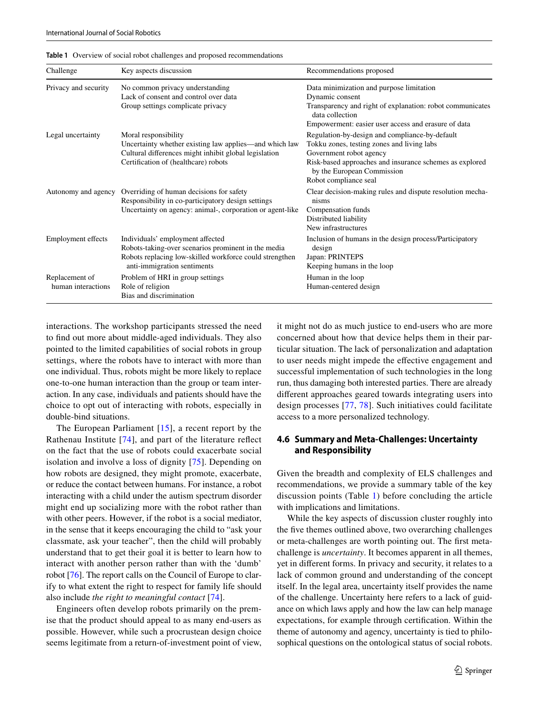| Challenge                            | Key aspects discussion                                                                                                                                                            | Recommendations proposed                                                                                                                                                                                                                  |
|--------------------------------------|-----------------------------------------------------------------------------------------------------------------------------------------------------------------------------------|-------------------------------------------------------------------------------------------------------------------------------------------------------------------------------------------------------------------------------------------|
| Privacy and security                 | No common privacy understanding<br>Lack of consent and control over data<br>Group settings complicate privacy                                                                     | Data minimization and purpose limitation<br>Dynamic consent<br>Transparency and right of explanation: robot communicates<br>data collection<br>Empowerment: easier user access and erasure of data                                        |
| Legal uncertainty                    | Moral responsibility<br>Uncertainty whether existing law applies—and which law<br>Cultural differences might inhibit global legislation<br>Certification of (healthcare) robots   | Regulation-by-design and compliance-by-default<br>Tokku zones, testing zones and living labs<br>Government robot agency<br>Risk-based approaches and insurance schemes as explored<br>by the European Commission<br>Robot compliance seal |
| Autonomy and agency                  | Overriding of human decisions for safety<br>Responsibility in co-participatory design settings<br>Uncertainty on agency: animal-, corporation or agent-like                       | Clear decision-making rules and dispute resolution mecha-<br>nisms<br>Compensation funds<br>Distributed liability<br>New infrastructures                                                                                                  |
| <b>Employment</b> effects            | Individuals' employment affected<br>Robots-taking-over scenarios prominent in the media<br>Robots replacing low-skilled workforce could strengthen<br>anti-immigration sentiments | Inclusion of humans in the design process/Participatory<br>design<br>Japan: PRINTEPS<br>Keeping humans in the loop                                                                                                                        |
| Replacement of<br>human interactions | Problem of HRI in group settings<br>Role of religion<br>Bias and discrimination                                                                                                   | Human in the loop<br>Human-centered design                                                                                                                                                                                                |

<span id="page-12-0"></span>**Table 1** Overview of social robot challenges and proposed recommendations

interactions. The workshop participants stressed the need to fnd out more about middle-aged individuals. They also pointed to the limited capabilities of social robots in group settings, where the robots have to interact with more than one individual. Thus, robots might be more likely to replace one-to-one human interaction than the group or team interaction. In any case, individuals and patients should have the choice to opt out of interacting with robots, especially in double-bind situations.

The European Parliament [[15\]](#page-15-0), a recent report by the Rathenau Institute [[74\]](#page-16-28), and part of the literature refect on the fact that the use of robots could exacerbate social isolation and involve a loss of dignity [\[75\]](#page-16-29). Depending on how robots are designed, they might promote, exacerbate, or reduce the contact between humans. For instance, a robot interacting with a child under the autism spectrum disorder might end up socializing more with the robot rather than with other peers. However, if the robot is a social mediator, in the sense that it keeps encouraging the child to "ask your classmate, ask your teacher", then the child will probably understand that to get their goal it is better to learn how to interact with another person rather than with the 'dumb' robot [\[76](#page-16-30)]. The report calls on the Council of Europe to clarify to what extent the right to respect for family life should also include *the right to meaningful contact* [[74\]](#page-16-28).

Engineers often develop robots primarily on the premise that the product should appeal to as many end-users as possible. However, while such a procrustean design choice seems legitimate from a return-of-investment point of view,

it might not do as much justice to end-users who are more concerned about how that device helps them in their particular situation. The lack of personalization and adaptation to user needs might impede the efective engagement and successful implementation of such technologies in the long run, thus damaging both interested parties. There are already diferent approaches geared towards integrating users into design processes [\[77,](#page-16-31) [78](#page-16-32)]. Such initiatives could facilitate access to a more personalized technology.

## **4.6 Summary and Meta‑Challenges: Uncertainty and Responsibility**

Given the breadth and complexity of ELS challenges and recommendations, we provide a summary table of the key discussion points (Table [1\)](#page-12-0) before concluding the article with implications and limitations.

While the key aspects of discussion cluster roughly into the five themes outlined above, two overarching challenges or meta-challenges are worth pointing out. The frst metachallenge is *uncertainty*. It becomes apparent in all themes, yet in diferent forms. In privacy and security, it relates to a lack of common ground and understanding of the concept itself. In the legal area, uncertainty itself provides the name of the challenge. Uncertainty here refers to a lack of guidance on which laws apply and how the law can help manage expectations, for example through certifcation. Within the theme of autonomy and agency, uncertainty is tied to philosophical questions on the ontological status of social robots.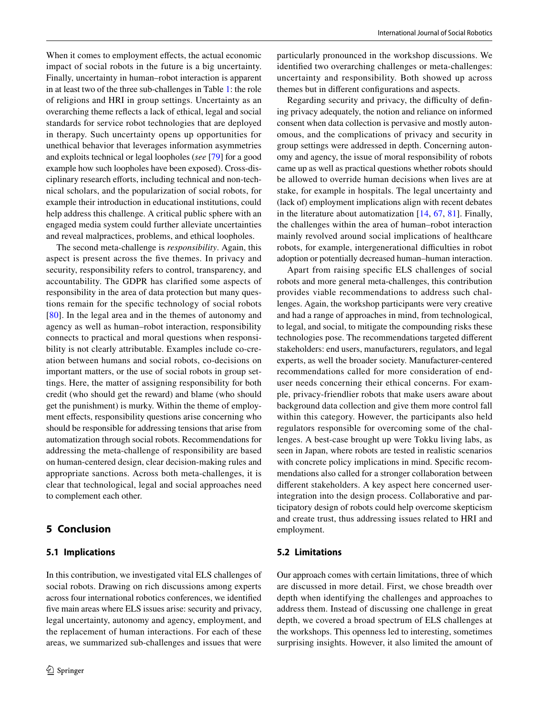When it comes to employment effects, the actual economic impact of social robots in the future is a big uncertainty. Finally, uncertainty in human–robot interaction is apparent in at least two of the three sub-challenges in Table [1](#page-12-0): the role of religions and HRI in group settings. Uncertainty as an overarching theme refects a lack of ethical, legal and social standards for service robot technologies that are deployed in therapy. Such uncertainty opens up opportunities for unethical behavior that leverages information asymmetries and exploits technical or legal loopholes (*see* [[79\]](#page-16-33) for a good example how such loopholes have been exposed). Cross-disciplinary research efforts, including technical and non-technical scholars, and the popularization of social robots, for example their introduction in educational institutions, could help address this challenge. A critical public sphere with an engaged media system could further alleviate uncertainties and reveal malpractices, problems, and ethical loopholes.

The second meta-challenge is *responsibility*. Again, this aspect is present across the fve themes. In privacy and security, responsibility refers to control, transparency, and accountability. The GDPR has clarifed some aspects of responsibility in the area of data protection but many questions remain for the specifc technology of social robots [\[80\]](#page-16-34). In the legal area and in the themes of autonomy and agency as well as human–robot interaction, responsibility connects to practical and moral questions when responsibility is not clearly attributable. Examples include co-creation between humans and social robots, co-decisions on important matters, or the use of social robots in group settings. Here, the matter of assigning responsibility for both credit (who should get the reward) and blame (who should get the punishment) is murky. Within the theme of employment effects, responsibility questions arise concerning who should be responsible for addressing tensions that arise from automatization through social robots. Recommendations for addressing the meta-challenge of responsibility are based on human-centered design, clear decision-making rules and appropriate sanctions. Across both meta-challenges, it is clear that technological, legal and social approaches need to complement each other.

# <span id="page-13-0"></span>**5 Conclusion**

## **5.1 Implications**

In this contribution, we investigated vital ELS challenges of social robots. Drawing on rich discussions among experts across four international robotics conferences, we identifed fve main areas where ELS issues arise: security and privacy, legal uncertainty, autonomy and agency, employment, and the replacement of human interactions. For each of these areas, we summarized sub-challenges and issues that were

particularly pronounced in the workshop discussions. We identifed two overarching challenges or meta-challenges: uncertainty and responsibility. Both showed up across themes but in diferent confgurations and aspects.

Regarding security and privacy, the difficulty of defining privacy adequately, the notion and reliance on informed consent when data collection is pervasive and mostly autonomous, and the complications of privacy and security in group settings were addressed in depth. Concerning autonomy and agency, the issue of moral responsibility of robots came up as well as practical questions whether robots should be allowed to override human decisions when lives are at stake, for example in hospitals. The legal uncertainty and (lack of) employment implications align with recent debates in the literature about automatization  $[14, 67, 81]$  $[14, 67, 81]$  $[14, 67, 81]$  $[14, 67, 81]$  $[14, 67, 81]$ . Finally, the challenges within the area of human–robot interaction mainly revolved around social implications of healthcare robots, for example, intergenerational difficulties in robot adoption or potentially decreased human–human interaction.

Apart from raising specifc ELS challenges of social robots and more general meta-challenges, this contribution provides viable recommendations to address such challenges. Again, the workshop participants were very creative and had a range of approaches in mind, from technological, to legal, and social, to mitigate the compounding risks these technologies pose. The recommendations targeted diferent stakeholders: end users, manufacturers, regulators, and legal experts, as well the broader society. Manufacturer-centered recommendations called for more consideration of enduser needs concerning their ethical concerns. For example, privacy-friendlier robots that make users aware about background data collection and give them more control fall within this category. However, the participants also held regulators responsible for overcoming some of the challenges. A best-case brought up were Tokku living labs, as seen in Japan, where robots are tested in realistic scenarios with concrete policy implications in mind. Specific recommendations also called for a stronger collaboration between diferent stakeholders. A key aspect here concerned userintegration into the design process. Collaborative and participatory design of robots could help overcome skepticism and create trust, thus addressing issues related to HRI and employment.

## **5.2 Limitations**

Our approach comes with certain limitations, three of which are discussed in more detail. First, we chose breadth over depth when identifying the challenges and approaches to address them. Instead of discussing one challenge in great depth, we covered a broad spectrum of ELS challenges at the workshops. This openness led to interesting, sometimes surprising insights. However, it also limited the amount of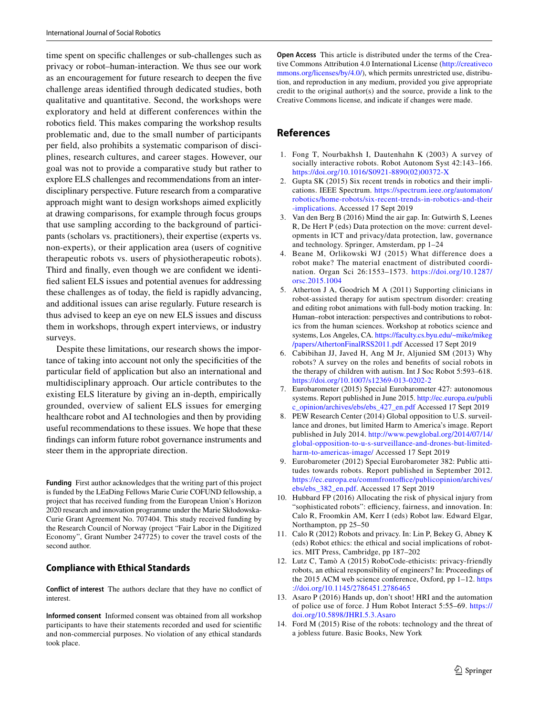time spent on specifc challenges or sub-challenges such as privacy or robot–human-interaction. We thus see our work as an encouragement for future research to deepen the fve challenge areas identifed through dedicated studies, both qualitative and quantitative. Second, the workshops were exploratory and held at diferent conferences within the robotics feld. This makes comparing the workshop results problematic and, due to the small number of participants per feld, also prohibits a systematic comparison of disciplines, research cultures, and career stages. However, our goal was not to provide a comparative study but rather to explore ELS challenges and recommendations from an interdisciplinary perspective. Future research from a comparative approach might want to design workshops aimed explicitly at drawing comparisons, for example through focus groups that use sampling according to the background of participants (scholars vs. practitioners), their expertise (experts vs. non-experts), or their application area (users of cognitive therapeutic robots vs. users of physiotherapeutic robots). Third and fnally, even though we are confdent we identifed salient ELS issues and potential avenues for addressing these challenges as of today, the feld is rapidly advancing, and additional issues can arise regularly. Future research is thus advised to keep an eye on new ELS issues and discuss them in workshops, through expert interviews, or industry surveys.

Despite these limitations, our research shows the importance of taking into account not only the specifcities of the particular feld of application but also an international and multidisciplinary approach. Our article contributes to the existing ELS literature by giving an in-depth, empirically grounded, overview of salient ELS issues for emerging healthcare robot and AI technologies and then by providing useful recommendations to these issues. We hope that these fndings can inform future robot governance instruments and steer them in the appropriate direction.

**Funding** First author acknowledges that the writing part of this project is funded by the LEaDing Fellows Marie Curie COFUND fellowship, a project that has received funding from the European Union's Horizon 2020 research and innovation programme under the Marie Skłodowska-Curie Grant Agreement No. 707404. This study received funding by the Research Council of Norway (project "Fair Labor in the Digitized Economy", Grant Number 247725) to cover the travel costs of the second author.

## **Compliance with Ethical Standards**

**Conflict of interest** The authors declare that they have no confict of interest.

**Informed consent** Informed consent was obtained from all workshop participants to have their statements recorded and used for scientifc and non-commercial purposes. No violation of any ethical standards took place.

**Open Access** This article is distributed under the terms of the Creative Commons Attribution 4.0 International License ([http://creativeco](http://creativecommons.org/licenses/by/4.0/) [mmons.org/licenses/by/4.0/](http://creativecommons.org/licenses/by/4.0/)), which permits unrestricted use, distribution, and reproduction in any medium, provided you give appropriate credit to the original author(s) and the source, provide a link to the Creative Commons license, and indicate if changes were made.

## **References**

- <span id="page-14-0"></span>1. Fong T, Nourbakhsh I, Dautenhahn K (2003) A survey of socially interactive robots. Robot Autonom Syst 42:143–166. [https://doi.org/10.1016/S0921-8890\(02\)00372-X](https://doi.org/10.1016/S0921-8890(02)00372-X)
- <span id="page-14-1"></span>2. Gupta SK (2015) Six recent trends in robotics and their implications. IEEE Spectrum. [https://spectrum.ieee.org/automaton/](https://spectrum.ieee.org/automaton/robotics/home-robots/six-recent-trends-in-robotics-and-their-implications) [robotics/home-robots/six-recent-trends-in-robotics-and-their](https://spectrum.ieee.org/automaton/robotics/home-robots/six-recent-trends-in-robotics-and-their-implications) [-implications](https://spectrum.ieee.org/automaton/robotics/home-robots/six-recent-trends-in-robotics-and-their-implications). Accessed 17 Sept 2019
- <span id="page-14-2"></span>3. Van den Berg B (2016) Mind the air gap. In: Gutwirth S, Leenes R, De Hert P (eds) Data protection on the move: current developments in ICT and privacy/data protection, law, governance and technology. Springer, Amsterdam, pp 1–24
- <span id="page-14-3"></span>4. Beane M, Orlikowski WJ (2015) What difference does a robot make? The material enactment of distributed coordination. Organ Sci 26:1553–1573. [https://doi.org/10.1287/](https://doi.org/10.1287/orsc.2015.1004) [orsc.2015.1004](https://doi.org/10.1287/orsc.2015.1004)
- <span id="page-14-4"></span>5. Atherton J A, Goodrich M A (2011) Supporting clinicians in robot-assisted therapy for autism spectrum disorder: creating and editing robot animations with full-body motion tracking. In: Human–robot interaction: perspectives and contributions to robotics from the human sciences. Workshop at robotics science and systems, Los Angeles, CA. [https://faculty.cs.byu.edu/~mike/mikeg](https://faculty.cs.byu.edu/%7emike/mikeg/papers/AthertonFinalRSS2011.pdf) [/papers/AthertonFinalRSS2011.pdf](https://faculty.cs.byu.edu/%7emike/mikeg/papers/AthertonFinalRSS2011.pdf) Accessed 17 Sept 2019
- <span id="page-14-5"></span>6. Cabibihan JJ, Javed H, Ang M Jr, Aljunied SM (2013) Why robots? A survey on the roles and benefts of social robots in the therapy of children with autism. Int J Soc Robot 5:593–618. <https://doi.org/10.1007/s12369-013-0202-2>
- <span id="page-14-6"></span>7. Eurobarometer (2015) Special Eurobarometer 427: autonomous systems. Report published in June 2015. [http://ec.europa.eu/publi](http://ec.europa.eu/public_opinion/archives/ebs/ebs_427_en.pdf) [c\\_opinion/archives/ebs/ebs\\_427\\_en.pdf](http://ec.europa.eu/public_opinion/archives/ebs/ebs_427_en.pdf) Accessed 17 Sept 2019
- 8. PEW Research Center (2014) Global opposition to U.S. surveillance and drones, but limited Harm to America's image. Report published in July 2014. [http://www.pewglobal.org/2014/07/14/](http://www.pewglobal.org/2014/07/14/global-opposition-to-u-s-surveillance-and-drones-but-limited-harm-to-americas-image/) [global-opposition-to-u-s-surveillance-and-drones-but-limited](http://www.pewglobal.org/2014/07/14/global-opposition-to-u-s-surveillance-and-drones-but-limited-harm-to-americas-image/)[harm-to-americas-image/](http://www.pewglobal.org/2014/07/14/global-opposition-to-u-s-surveillance-and-drones-but-limited-harm-to-americas-image/) Accessed 17 Sept 2019
- <span id="page-14-7"></span>9. Eurobarometer (2012) Special Eurobarometer 382: Public attitudes towards robots. Report published in September 2012. https://ec.europa.eu/commfrontoffice/publicopinion/archives/ [ebs/ebs\\_382\\_en.pdf.](https://ec.europa.eu/commfrontoffice/publicopinion/archives/ebs/ebs_382_en.pdf) Accessed 17 Sept 2019
- <span id="page-14-8"></span>10. Hubbard FP (2016) Allocating the risk of physical injury from "sophisticated robots": efficiency, fairness, and innovation. In: Calo R, Froomkin AM, Kerr I (eds) Robot law. Edward Elgar, Northampton, pp 25–50
- <span id="page-14-9"></span>11. Calo R (2012) Robots and privacy. In: Lin P, Bekey G, Abney K (eds) Robot ethics: the ethical and social implications of robotics. MIT Press, Cambridge, pp 187–202
- <span id="page-14-10"></span>12. Lutz C, Tamò A (2015) RoboCode-ethicists: privacy-friendly robots, an ethical responsibility of engineers? In: Proceedings of the 2015 ACM web science conference, Oxford, pp 1–12. [https](https://doi.org/10.1145/2786451.2786465) [://doi.org/10.1145/2786451.2786465](https://doi.org/10.1145/2786451.2786465)
- <span id="page-14-11"></span>13. Asaro P (2016) Hands up, don't shoot! HRI and the automation of police use of force. J Hum Robot Interact 5:55–69. [https://](https://doi.org/10.5898/JHRI.5.3.Asaro) [doi.org/10.5898/JHRI.5.3.Asaro](https://doi.org/10.5898/JHRI.5.3.Asaro)
- <span id="page-14-12"></span>14. Ford M (2015) Rise of the robots: technology and the threat of a jobless future. Basic Books, New York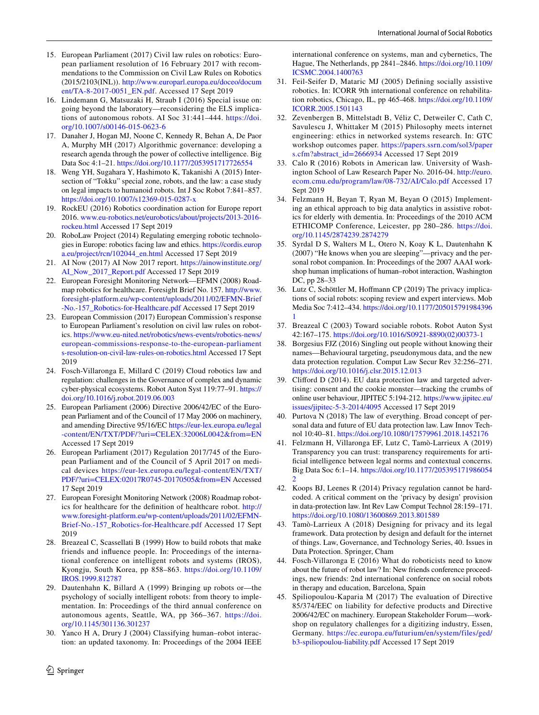- <span id="page-15-0"></span>15. European Parliament (2017) Civil law rules on robotics: European parliament resolution of 16 February 2017 with recommendations to the Commission on Civil Law Rules on Robotics (2015/2103(INL)). [http://www.europarl.europa.eu/doceo/docum](http://www.europarl.europa.eu/doceo/document/TA-8-2017-0051_EN.pdf) [ent/TA-8-2017-0051\\_EN.pdf](http://www.europarl.europa.eu/doceo/document/TA-8-2017-0051_EN.pdf). Accessed 17 Sept 2019
- <span id="page-15-1"></span>16. Lindemann G, Matsuzaki H, Straub I (2016) Special issue on: going beyond the laboratory—reconsidering the ELS implications of autonomous robots. AI Soc 31:441–444. [https://doi.](https://doi.org/10.1007/s00146-015-0623-6) [org/10.1007/s00146-015-0623-6](https://doi.org/10.1007/s00146-015-0623-6)
- <span id="page-15-2"></span>17. Danaher J, Hogan MJ, Noone C, Kennedy R, Behan A, De Paor A, Murphy MH (2017) Algorithmic governance: developing a research agenda through the power of collective intelligence. Big Data Soc 4:1–21.<https://doi.org/10.1177/2053951717726554>
- <span id="page-15-3"></span>18. Weng YH, Sugahara Y, Hashimoto K, Takanishi A (2015) Intersection of "Tokku" special zone, robots, and the law: a case study on legal impacts to humanoid robots. Int J Soc Robot 7:841–857. <https://doi.org/10.1007/s12369-015-0287-x>
- <span id="page-15-4"></span>19. RockEU (2016) Robotics coordination action for Europe report 2016. [www.eu-robotics.net/eurobotics/about/projects/2013-2016](http://www.eu-robotics.net/eurobotics/about/projects/2013-2016-rockeu.html) [rockeu.html](http://www.eu-robotics.net/eurobotics/about/projects/2013-2016-rockeu.html) Accessed 17 Sept 2019
- 20. RoboLaw Project (2014) Regulating emerging robotic technologies in Europe: robotics facing law and ethics. [https://cordis.europ](https://cordis.europa.eu/project/rcn/102044_en.html) [a.eu/project/rcn/102044\\_en.html](https://cordis.europa.eu/project/rcn/102044_en.html) Accessed 17 Sept 2019
- 21. AI Now (2017) AI Now 2017 report. [https://ainowinstitute.org/](https://ainowinstitute.org/AI_Now_2017_Report.pdf) [AI\\_Now\\_2017\\_Report.pdf](https://ainowinstitute.org/AI_Now_2017_Report.pdf) Accessed 17 Sept 2019
- <span id="page-15-5"></span>22. European Foresight Monitoring Network—EFMN (2008) Roadmap robotics for healthcare. Foresight Brief No. 157. [http://www.](http://www.foresight-platform.eu/wp-content/uploads/2011/02/EFMN-Brief-No.-157_Robotics-for-Healthcare.pdf) [foresight-platform.eu/wp-content/uploads/2011/02/EFMN-Brief](http://www.foresight-platform.eu/wp-content/uploads/2011/02/EFMN-Brief-No.-157_Robotics-for-Healthcare.pdf) [-No.-157\\_Robotics-for-Healthcare.pdf](http://www.foresight-platform.eu/wp-content/uploads/2011/02/EFMN-Brief-No.-157_Robotics-for-Healthcare.pdf) Accessed 17 Sept 2019
- <span id="page-15-6"></span>23. European Commission (2017) European Commission's response to European Parliament's resolution on civil law rules on robotics. [https://www.eu-nited.net/robotics/news-events/robotics-news/](https://www.eu-nited.net/robotics/news-events/robotics-news/european-commissions-response-to-the-european-parliaments-resolution-on-civil-law-rules-on-robotics.html) [european-commissions-response-to-the-european-parliament](https://www.eu-nited.net/robotics/news-events/robotics-news/european-commissions-response-to-the-european-parliaments-resolution-on-civil-law-rules-on-robotics.html) [s-resolution-on-civil-law-rules-on-robotics.html](https://www.eu-nited.net/robotics/news-events/robotics-news/european-commissions-response-to-the-european-parliaments-resolution-on-civil-law-rules-on-robotics.html) Accessed 17 Sept 2019
- <span id="page-15-7"></span>24. Fosch-Villaronga E, Millard C (2019) Cloud robotics law and regulation: challenges in the Governance of complex and dynamic cyber-physical ecosystems. Robot Auton Syst 119:77–91. [https://](https://doi.org/10.1016/j.robot.2019.06.003) [doi.org/10.1016/j.robot.2019.06.003](https://doi.org/10.1016/j.robot.2019.06.003)
- <span id="page-15-8"></span>25. European Parliament (2006) Directive 2006/42/EC of the European Parliament and of the Council of 17 May 2006 on machinery, and amending Directive 95/16/EC [https://eur-lex.europa.eu/legal](https://eur-lex.europa.eu/legal-content/EN/TXT/PDF/%3furi%3dCELEX:32006L0042%26from%3dEN) [-content/EN/TXT/PDF/?uri=CELEX:32006L0042&from=EN](https://eur-lex.europa.eu/legal-content/EN/TXT/PDF/%3furi%3dCELEX:32006L0042%26from%3dEN) Accessed 17 Sept 2019
- <span id="page-15-9"></span>26. European Parliament (2017) Regulation 2017/745 of the European Parliament and of the Council of 5 April 2017 on medical devices [https://eur-lex.europa.eu/legal-content/EN/TXT/](https://eur-lex.europa.eu/legal-content/EN/TXT/PDF/%3furi%3dCELEX:02017R0745-20170505%26from%3dEN) [PDF/?uri=CELEX:02017R0745-20170505&from=EN](https://eur-lex.europa.eu/legal-content/EN/TXT/PDF/%3furi%3dCELEX:02017R0745-20170505%26from%3dEN) Accessed 17 Sept 2019
- <span id="page-15-10"></span>27. European Foresight Monitoring Network (2008) Roadmap robotics for healthcare for the defnition of healthcare robot. [http://](http://www.foresight-platform.eu/wp-content/uploads/2011/02/EFMN-Brief-No.-157_Robotics-for-Healthcare.pdf) [www.foresight-platform.eu/wp-content/uploads/2011/02/EFMN-](http://www.foresight-platform.eu/wp-content/uploads/2011/02/EFMN-Brief-No.-157_Robotics-for-Healthcare.pdf)[Brief-No.-157\\_Robotics-for-Healthcare.pdf](http://www.foresight-platform.eu/wp-content/uploads/2011/02/EFMN-Brief-No.-157_Robotics-for-Healthcare.pdf) Accessed 17 Sept 2019
- <span id="page-15-11"></span>28. Breazeal C, Scassellati B (1999) How to build robots that make friends and infuence people. In: Proceedings of the international conference on intelligent robots and systems (IROS), Kyongju, South Korea, pp 858–863. [https://doi.org/10.1109/](https://doi.org/10.1109/IROS.1999.812787) [IROS.1999.812787](https://doi.org/10.1109/IROS.1999.812787)
- <span id="page-15-12"></span>29. Dautenhahn K, Billard A (1999) Bringing up robots or—the psychology of socially intelligent robots: from theory to implementation. In: Proceedings of the third annual conference on autonomous agents, Seattle, WA, pp 366–367. [https://doi.](https://doi.org/10.1145/301136.301237) [org/10.1145/301136.301237](https://doi.org/10.1145/301136.301237)
- <span id="page-15-13"></span>30. Yanco H A, Drury J (2004) Classifying human–robot interaction: an updated taxonomy. In: Proceedings of the 2004 IEEE

international conference on systems, man and cybernetics, The Hague, The Netherlands, pp 2841–2846. [https://doi.org/10.1109/](https://doi.org/10.1109/ICSMC.2004.1400763) [ICSMC.2004.1400763](https://doi.org/10.1109/ICSMC.2004.1400763)

- <span id="page-15-14"></span>31. Feil-Seifer D, Mataric MJ (2005) Defning socially assistive robotics. In: ICORR 9th international conference on rehabilitation robotics, Chicago, IL, pp 465-468. [https://doi.org/10.1109/](https://doi.org/10.1109/ICORR.2005.1501143) [ICORR.2005.1501143](https://doi.org/10.1109/ICORR.2005.1501143)
- <span id="page-15-15"></span>32. Zevenbergen B, Mittelstadt B, Véliz C, Detweiler C, Cath C, Savulescu J, Whittaker M (2015) Philosophy meets internet engineering: ethics in networked systems research. In: GTC workshop outcomes paper. [https://papers.ssrn.com/sol3/paper](https://papers.ssrn.com/sol3/papers.cfm%3fabstract_id%3d2666934) [s.cfm?abstract\\_id=2666934](https://papers.ssrn.com/sol3/papers.cfm%3fabstract_id%3d2666934) Accessed 17 Sept 2019
- <span id="page-15-16"></span>33. Calo R (2016) Robots in American law. University of Washington School of Law Research Paper No. 2016-04. [http://euro.](http://euro.ecom.cmu.edu/program/law/08-732/AI/Calo.pdf) [ecom.cmu.edu/program/law/08-732/AI/Calo.pdf](http://euro.ecom.cmu.edu/program/law/08-732/AI/Calo.pdf) Accessed 17 Sept 2019
- 34. Felzmann H, Beyan T, Ryan M, Beyan O (2015) Implementing an ethical approach to big data analytics in assistive robotics for elderly with dementia. In: Proceedings of the 2010 ACM ETHICOMP Conference, Leicester, pp 280–286. [https://doi.](https://doi.org/10.1145/2874239.2874279) [org/10.1145/2874239.2874279](https://doi.org/10.1145/2874239.2874279)
- <span id="page-15-17"></span>35. Syrdal D S, Walters M L, Otero N, Koay K L, Dautenhahn K (2007) "He knows when you are sleeping"—privacy and the personal robot companion. In: Proceedings of the 2007 AAAI workshop human implications of human–robot interaction, Washington DC, pp 28–33
- <span id="page-15-18"></span>36. Lutz C, Schöttler M, Hofmann CP (2019) The privacy implications of social robots: scoping review and expert interviews. Mob Media Soc 7:412–434. [https://doi.org/10.1177/205015791984396](https://doi.org/10.1177/2050157919843961) [1](https://doi.org/10.1177/2050157919843961)
- <span id="page-15-19"></span>37. Breazeal C (2003) Toward sociable robots. Robot Auton Syst 42:167–175. [https://doi.org/10.1016/S0921-8890\(02\)00373-1](https://doi.org/10.1016/S0921-8890(02)00373-1)
- <span id="page-15-20"></span>38. Borgesius FJZ (2016) Singling out people without knowing their names—Behavioural targeting, pseudonymous data, and the new data protection regulation. Comput Law Secur Rev 32:256–271. <https://doi.org/10.1016/j.clsr.2015.12.013>
- 39. Cliford D (2014). EU data protection law and targeted advertising: consent and the cookie monster—tracking the crumbs of online user behaviour, JIPITEC 5:194-212. [https://www.jipitec.eu/](https://www.jipitec.eu/issues/jipitec-5-3-2014/4095) [issues/jipitec-5-3-2014/4095](https://www.jipitec.eu/issues/jipitec-5-3-2014/4095) Accessed 17 Sept 2019
- <span id="page-15-21"></span>40. Purtova N (2018) The law of everything. Broad concept of personal data and future of EU data protection law. Law Innov Technol 10:40–81. <https://doi.org/10.1080/17579961.2018.1452176>
- <span id="page-15-22"></span>41. Felzmann H, Villaronga EF, Lutz C, Tamò-Larrieux A (2019) Transparency you can trust: transparency requirements for artifcial intelligence between legal norms and contextual concerns. Big Data Soc 6:1–14. [https://doi.org/10.1177/205395171986054](https://doi.org/10.1177/2053951719860542) [2](https://doi.org/10.1177/2053951719860542)
- <span id="page-15-23"></span>42. Koops BJ, Leenes R (2014) Privacy regulation cannot be hardcoded. A critical comment on the 'privacy by design' provision in data-protection law. Int Rev Law Comput Technol 28:159–171. <https://doi.org/10.1080/13600869.2013.801589>
- <span id="page-15-24"></span>43. Tamò-Larrieux A (2018) Designing for privacy and its legal framework. Data protection by design and default for the internet of things. Law, Governance, and Technology Series, 40. Issues in Data Protection. Springer, Cham
- <span id="page-15-25"></span>44. Fosch-Villaronga E (2016) What do roboticists need to know about the future of robot law? In: New friends conference proceedings, new friends: 2nd international conference on social robots in therapy and education, Barcelona, Spain
- <span id="page-15-26"></span>45. Spiliopoulou-Kaparia M (2017) The evaluation of Directive 85/374/EEC on liability for defective products and Directive 2006/42/EC on machinery. European Stakeholder Forum—workshop on regulatory challenges for a digitizing industry, Essen, Germany. [https://ec.europa.eu/futurium/en/system/files/ged/](https://ec.europa.eu/futurium/en/system/files/ged/b3-spiliopoulou-liability.pdf) [b3-spiliopoulou-liability.pdf](https://ec.europa.eu/futurium/en/system/files/ged/b3-spiliopoulou-liability.pdf) Accessed 17 Sept 2019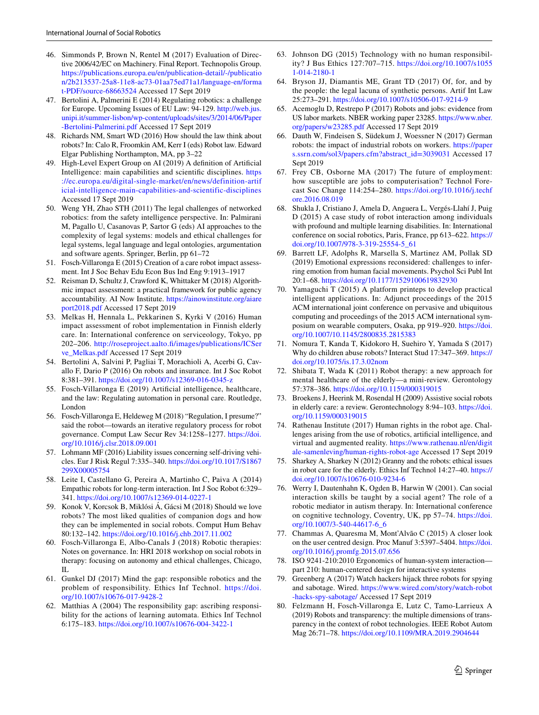- <span id="page-16-0"></span>46. Simmonds P, Brown N, Rentel M (2017) Evaluation of Directive 2006/42/EC on Machinery. Final Report. Technopolis Group. [https://publications.europa.eu/en/publication-detail/-/publicatio](https://publications.europa.eu/en/publication-detail/-/publication/2b213537-25a8-11e8-ac73-01aa75ed71a1/language-en/format-PDF/source-68663524) [n/2b213537-25a8-11e8-ac73-01aa75ed71a1/language-en/forma](https://publications.europa.eu/en/publication-detail/-/publication/2b213537-25a8-11e8-ac73-01aa75ed71a1/language-en/format-PDF/source-68663524) [t-PDF/source-68663524](https://publications.europa.eu/en/publication-detail/-/publication/2b213537-25a8-11e8-ac73-01aa75ed71a1/language-en/format-PDF/source-68663524) Accessed 17 Sept 2019
- <span id="page-16-1"></span>47. Bertolini A, Palmerini E (2014) Regulating robotics: a challenge for Europe. Upcoming Issues of EU Law: 94-129. [http://web.jus.](http://web.jus.unipi.it/summer-lisbon/wp-content/uploads/sites/3/2014/06/Paper-Bertolini-Palmerini.pdf) [unipi.it/summer-lisbon/wp-content/uploads/sites/3/2014/06/Paper](http://web.jus.unipi.it/summer-lisbon/wp-content/uploads/sites/3/2014/06/Paper-Bertolini-Palmerini.pdf) [-Bertolini-Palmerini.pdf](http://web.jus.unipi.it/summer-lisbon/wp-content/uploads/sites/3/2014/06/Paper-Bertolini-Palmerini.pdf) Accessed 17 Sept 2019
- <span id="page-16-2"></span>48. Richards NM, Smart WD (2016) How should the law think about robots? In: Calo R, Froomkin AM, Kerr I (eds) Robot law. Edward Elgar Publishing Northampton, MA, pp 3–22
- <span id="page-16-3"></span>49. High-Level Expert Group on AI (2019) A defnition of Artifcial Intelligence: main capabilities and scientifc disciplines. [https](https://ec.europa.eu/digital-single-market/en/news/definition-artificial-intelligence-main-capabilities-and-scientific-disciplines) [://ec.europa.eu/digital-single-market/en/news/definition-artif](https://ec.europa.eu/digital-single-market/en/news/definition-artificial-intelligence-main-capabilities-and-scientific-disciplines) [icial-intelligence-main-capabilities-and-scientific-disciplines](https://ec.europa.eu/digital-single-market/en/news/definition-artificial-intelligence-main-capabilities-and-scientific-disciplines) Accessed 17 Sept 2019
- <span id="page-16-4"></span>50. Weng YH, Zhao STH (2011) The legal challenges of networked robotics: from the safety intelligence perspective. In: Palmirani M, Pagallo U, Casanovas P, Sartor G (eds) AI approaches to the complexity of legal systems: models and ethical challenges for legal systems, legal language and legal ontologies, argumentation and software agents. Springer, Berlin, pp 61–72
- <span id="page-16-5"></span>51. Fosch-Villaronga E (2015) Creation of a care robot impact assessment. Int J Soc Behav Edu Econ Bus Ind Eng 9:1913–1917
- <span id="page-16-6"></span>52. Reisman D, Schultz J, Crawford K, Whittaker M (2018) Algorithmic impact assessment: a practical framework for public agency accountability. AI Now Institute. [https://ainowinstitute.org/aiare](https://ainowinstitute.org/aiareport2018.pdf) [port2018.pdf](https://ainowinstitute.org/aiareport2018.pdf) Accessed 17 Sept 2019
- <span id="page-16-7"></span>53. Melkas H, Hennala L, Pekkarinen S, Kyrki V (2016) Human impact assessment of robot implementation in Finnish elderly care. In: International conference on serviceology, Tokyo, pp 202–206. [http://roseproject.aalto.f/images/publications/ICSer](http://roseproject.aalto.fi/images/publications/ICServe_Melkas.pdf) [ve\\_Melkas.pdf](http://roseproject.aalto.fi/images/publications/ICServe_Melkas.pdf) Accessed 17 Sept 2019
- <span id="page-16-8"></span>54. Bertolini A, Salvini P, Pagliai T, Morachioli A, Acerbi G, Cavallo F, Dario P (2016) On robots and insurance. Int J Soc Robot 8:381–391.<https://doi.org/10.1007/s12369-016-0345-z>
- <span id="page-16-9"></span>55. Fosch-Villaronga E (2019) Artifcial intelligence, healthcare, and the law: Regulating automation in personal care. Routledge, London
- <span id="page-16-10"></span>56. Fosch-Villaronga E, Heldeweg M (2018) "Regulation, I presume?" said the robot—towards an iterative regulatory process for robot governance. Comput Law Secur Rev 34:1258–1277. [https://doi.](https://doi.org/10.1016/j.clsr.2018.09.001) [org/10.1016/j.clsr.2018.09.001](https://doi.org/10.1016/j.clsr.2018.09.001)
- <span id="page-16-11"></span>57. Lohmann MF (2016) Liability issues concerning self-driving vehicles. Eur J Risk Regul 7:335–340. [https://doi.org/10.1017/S1867](https://doi.org/10.1017/S1867299X00005754) [299X00005754](https://doi.org/10.1017/S1867299X00005754)
- <span id="page-16-12"></span>58. Leite I, Castellano G, Pereira A, Martinho C, Paiva A (2014) Empathic robots for long-term interaction. Int J Soc Robot 6:329– 341.<https://doi.org/10.1007/s12369-014-0227-1>
- <span id="page-16-13"></span>59. Konok V, Korcsok B, Miklósi Á, Gácsi M (2018) Should we love robots? The most liked qualities of companion dogs and how they can be implemented in social robots. Comput Hum Behav 80:132–142.<https://doi.org/10.1016/j.chb.2017.11.002>
- <span id="page-16-14"></span>60. Fosch-Villaronga E, Albo-Canals J (2018) Robotic therapies: Notes on governance. In: HRI 2018 workshop on social robots in therapy: focusing on autonomy and ethical challenges, Chicago, IL
- <span id="page-16-15"></span>61. Gunkel DJ (2017) Mind the gap: responsible robotics and the problem of responsibility. Ethics Inf Technol. [https://doi.](https://doi.org/10.1007/s10676-017-9428-2) [org/10.1007/s10676-017-9428-2](https://doi.org/10.1007/s10676-017-9428-2)
- <span id="page-16-16"></span>62. Matthias A (2004) The responsibility gap: ascribing responsibility for the actions of learning automata. Ethics Inf Technol 6:175–183.<https://doi.org/10.1007/s10676-004-3422-1>
- <span id="page-16-17"></span>63. Johnson DG (2015) Technology with no human responsibility? J Bus Ethics 127:707–715. [https://doi.org/10.1007/s1055](https://doi.org/10.1007/s10551-014-2180-1) [1-014-2180-1](https://doi.org/10.1007/s10551-014-2180-1)
- <span id="page-16-18"></span>64. Bryson JJ, Diamantis ME, Grant TD (2017) Of, for, and by the people: the legal lacuna of synthetic persons. Artif Int Law 25:273–291.<https://doi.org/10.1007/s10506-017-9214-9>
- <span id="page-16-19"></span>65. Acemoglu D, Restrepo P (2017) Robots and jobs: evidence from US labor markets. NBER working paper 23285. [https://www.nber.](https://www.nber.org/papers/w23285.pdf) [org/papers/w23285.pdf](https://www.nber.org/papers/w23285.pdf) Accessed 17 Sept 2019
- <span id="page-16-20"></span>66. Dauth W, Findeisen S, Südekum J, Woessner N (2017) German robots: the impact of industrial robots on workers. [https://paper](https://papers.ssrn.com/sol3/papers.cfm%3fabstract_id%3d3039031) [s.ssrn.com/sol3/papers.cfm?abstract\\_id=3039031](https://papers.ssrn.com/sol3/papers.cfm%3fabstract_id%3d3039031) Accessed 17 Sept 2019
- <span id="page-16-21"></span>67. Frey CB, Osborne MA (2017) The future of employment: how susceptible are jobs to computerisation? Technol Forecast Soc Change 114:254–280. [https://doi.org/10.1016/j.techf](https://doi.org/10.1016/j.techfore.2016.08.019) [ore.2016.08.019](https://doi.org/10.1016/j.techfore.2016.08.019)
- <span id="page-16-22"></span>68. Shukla J, Cristiano J, Amela D, Anguera L, Vergés-Llahí J, Puig D (2015) A case study of robot interaction among individuals with profound and multiple learning disabilities. In: International conference on social robotics, Paris, France, pp 613–622. [https://](https://doi.org/10.1007/978-3-319-25554-5_61) [doi.org/10.1007/978-3-319-25554-5\\_61](https://doi.org/10.1007/978-3-319-25554-5_61)
- <span id="page-16-23"></span>69. Barrett LF, Adolphs R, Marsella S, Martinez AM, Pollak SD (2019) Emotional expressions reconsidered: challenges to inferring emotion from human facial movements. Psychol Sci Publ Int 20:1–68. <https://doi.org/10.1177/1529100619832930>
- <span id="page-16-24"></span>70. Yamaguchi T (2015) A platform printeps to develop practical intelligent applications. In: Adjunct proceedings of the 2015 ACM international joint conference on pervasive and ubiquitous computing and proceedings of the 2015 ACM international symposium on wearable computers, Osaka, pp 919–920. [https://doi.](https://doi.org/10.1007/10.1145/2800835.2815383) [org/10.1007/10.1145/2800835.2815383](https://doi.org/10.1007/10.1145/2800835.2815383)
- <span id="page-16-25"></span>71. Nomura T, Kanda T, Kidokoro H, Suehiro Y, Yamada S (2017) Why do children abuse robots? Interact Stud 17:347–369. [https://](https://doi.org/10.1075/is.17.3.02nom) [doi.org/10.1075/is.17.3.02nom](https://doi.org/10.1075/is.17.3.02nom)
- <span id="page-16-26"></span>72. Shibata T, Wada K (2011) Robot therapy: a new approach for mental healthcare of the elderly—a mini-review. Gerontology 57:378–386.<https://doi.org/10.1159/000319015>
- <span id="page-16-27"></span>73. Broekens J, Heerink M, Rosendal H (2009) Assistive social robots in elderly care: a review. Gerontechnology 8:94–103. [https://doi.](https://doi.org/10.1159/000319015) [org/10.1159/000319015](https://doi.org/10.1159/000319015)
- <span id="page-16-28"></span>74. Rathenau Institute (2017) Human rights in the robot age. Challenges arising from the use of robotics, artifcial intelligence, and virtual and augmented reality. [https://www.rathenau.nl/en/digit](https://www.rathenau.nl/en/digitale-samenleving/human-rights-robot-age) [ale-samenleving/human-rights-robot-age](https://www.rathenau.nl/en/digitale-samenleving/human-rights-robot-age) Accessed 17 Sept 2019
- <span id="page-16-29"></span>75. Sharkey A, Sharkey N (2012) Granny and the robots: ethical issues in robot care for the elderly. Ethics Inf Technol 14:27–40. [https://](https://doi.org/10.1007/s10676-010-9234-6) [doi.org/10.1007/s10676-010-9234-6](https://doi.org/10.1007/s10676-010-9234-6)
- <span id="page-16-30"></span>76. Werry I, Dautenhahn K, Ogden B, Harwin W (2001). Can social interaction skills be taught by a social agent? The role of a robotic mediator in autism therapy. In: International conference on cognitive technology, Coventry, UK, pp 57–74. [https://doi.](https://doi.org/10.1007/3-540-44617-6_6) [org/10.1007/3-540-44617-6\\_6](https://doi.org/10.1007/3-540-44617-6_6)
- <span id="page-16-31"></span>77. Chammas A, Quaresma M, Mont'Alvão C (2015) A closer look on the user centred design. Proc Manuf 3:5397–5404. [https://doi.](https://doi.org/10.1016/j.promfg.2015.07.656) [org/10.1016/j.promfg.2015.07.656](https://doi.org/10.1016/j.promfg.2015.07.656)
- <span id="page-16-32"></span>78. ISO 9241-210:2010 Ergonomics of human-system interaction part 210: human-centered design for interactive systems
- <span id="page-16-33"></span>79. Greenberg A (2017) Watch hackers hijack three robots for spying and sabotage. Wired. [https://www.wired.com/story/watch-robot](https://www.wired.com/story/watch-robot-hacks-spy-sabotage/) [-hacks-spy-sabotage/](https://www.wired.com/story/watch-robot-hacks-spy-sabotage/) Accessed 17 Sept 2019
- <span id="page-16-34"></span>80. Felzmann H, Fosch-Villaronga E, Lutz C, Tamo-Larrieux A (2019) Robots and transparency: the multiple dimensions of transparency in the context of robot technologies. IEEE Robot Autom Mag 26:71–78. <https://doi.org/10.1109/MRA.2019.2904644>